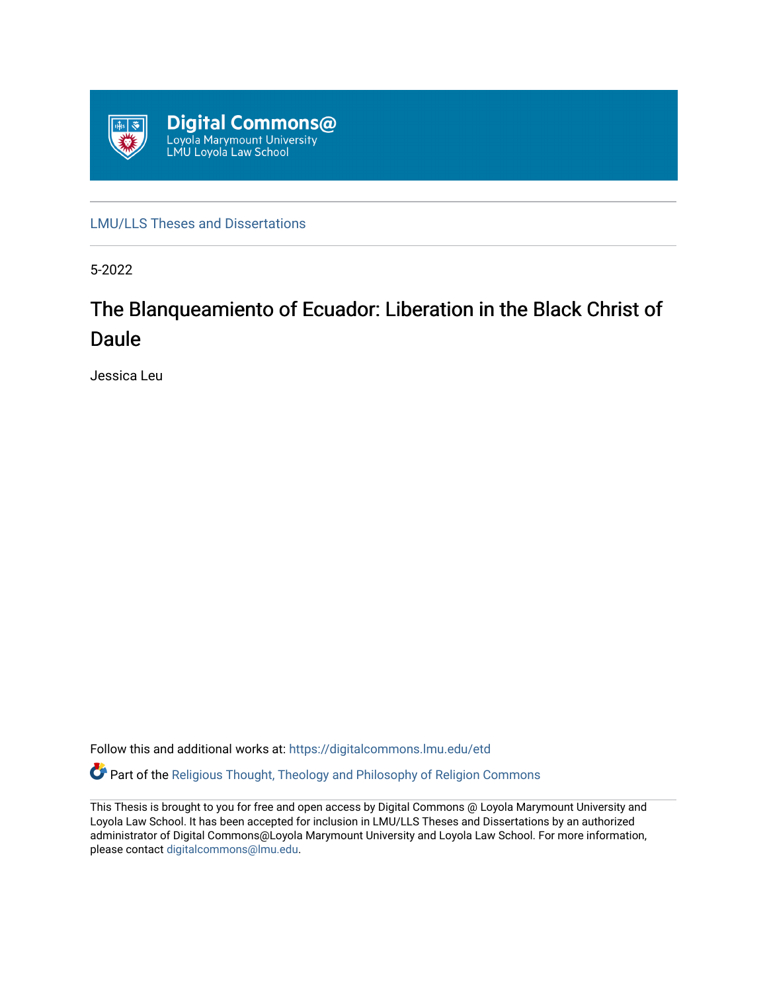

[LMU/LLS Theses and Dissertations](https://digitalcommons.lmu.edu/etd)

5-2022

# The Blanqueamiento of Ecuador: Liberation in the Black Christ of Daule

Jessica Leu

Follow this and additional works at: [https://digitalcommons.lmu.edu/etd](https://digitalcommons.lmu.edu/etd?utm_source=digitalcommons.lmu.edu%2Fetd%2F1137&utm_medium=PDF&utm_campaign=PDFCoverPages)  Part of the [Religious Thought, Theology and Philosophy of Religion Commons](https://network.bepress.com/hgg/discipline/544?utm_source=digitalcommons.lmu.edu%2Fetd%2F1137&utm_medium=PDF&utm_campaign=PDFCoverPages) 

This Thesis is brought to you for free and open access by Digital Commons @ Loyola Marymount University and Loyola Law School. It has been accepted for inclusion in LMU/LLS Theses and Dissertations by an authorized administrator of Digital Commons@Loyola Marymount University and Loyola Law School. For more information, please contact [digitalcommons@lmu.edu](mailto:digitalcommons@lmu.edu).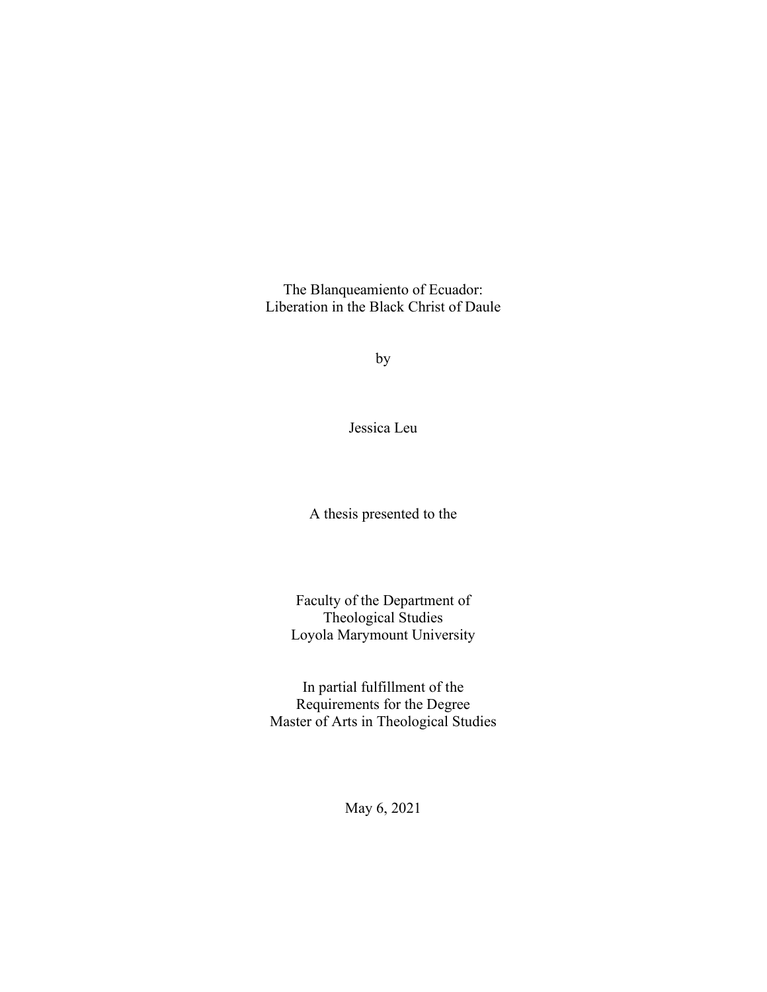The Blanqueamiento of Ecuador: Liberation in the Black Christ of Daule

by

Jessica Leu

A thesis presented to the

Faculty of the Department of Theological Studies Loyola Marymount University

In partial fulfillment of the Requirements for the Degree Master of Arts in Theological Studies

May 6, 2021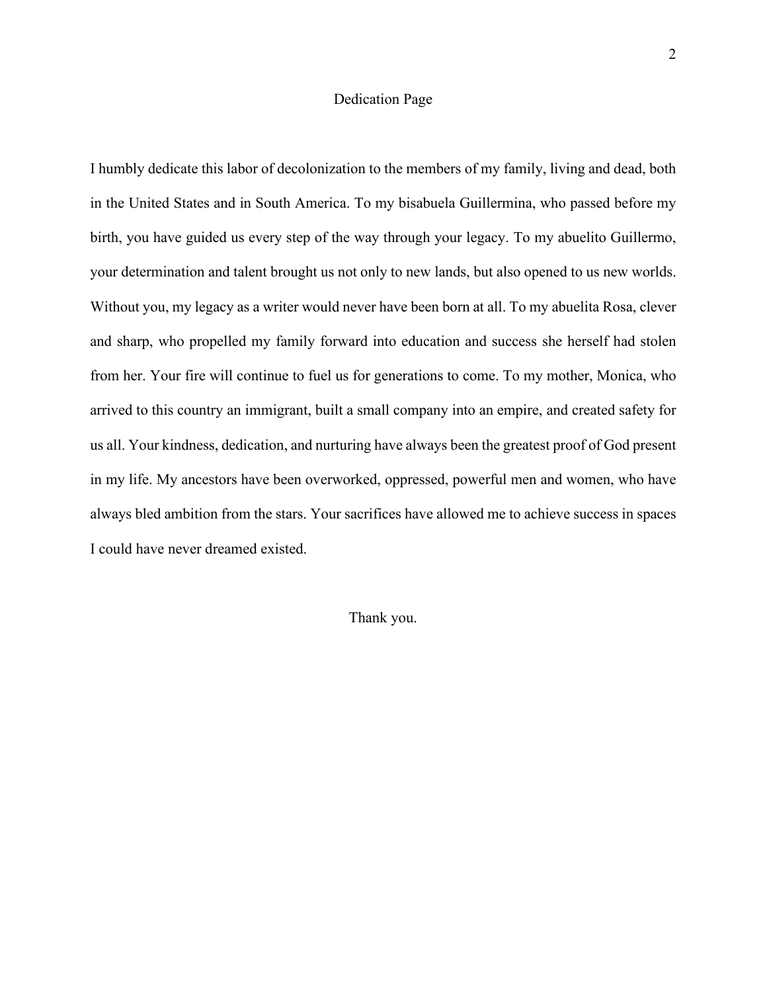# Dedication Page

I humbly dedicate this labor of decolonization to the members of my family, living and dead, both in the United States and in South America. To my bisabuela Guillermina, who passed before my birth, you have guided us every step of the way through your legacy. To my abuelito Guillermo, your determination and talent brought us not only to new lands, but also opened to us new worlds. Without you, my legacy as a writer would never have been born at all. To my abuelita Rosa, clever and sharp, who propelled my family forward into education and success she herself had stolen from her. Your fire will continue to fuel us for generations to come. To my mother, Monica, who arrived to this country an immigrant, built a small company into an empire, and created safety for us all. Your kindness, dedication, and nurturing have always been the greatest proof of God present in my life. My ancestors have been overworked, oppressed, powerful men and women, who have always bled ambition from the stars. Your sacrifices have allowed me to achieve success in spaces I could have never dreamed existed.

Thank you.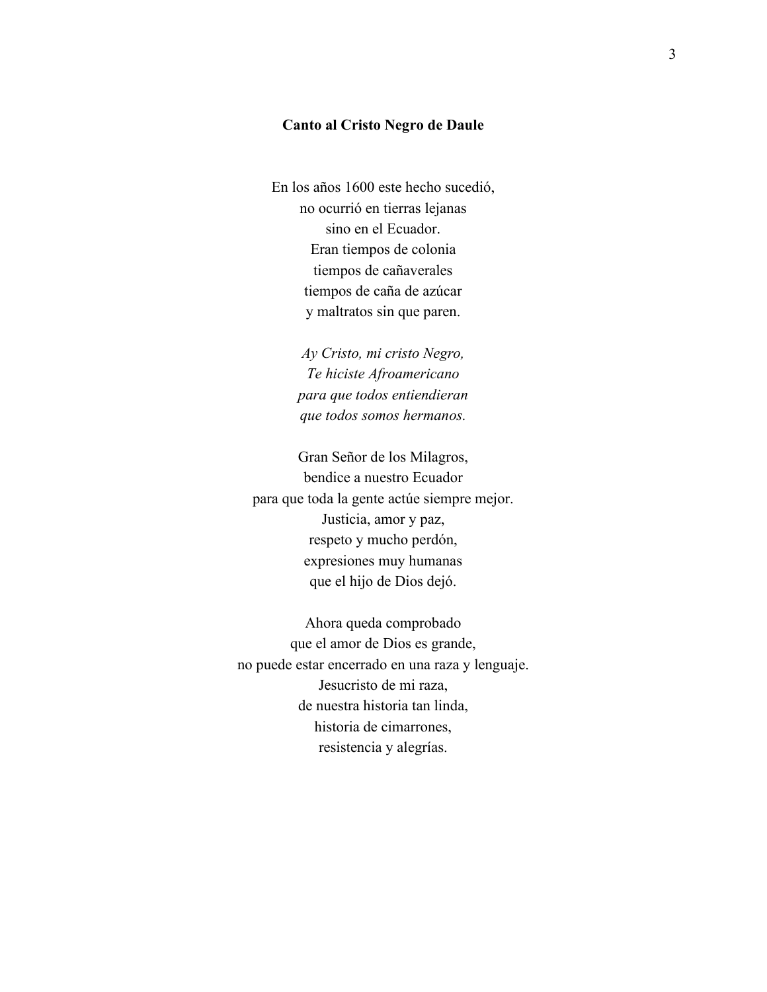## **Canto al Cristo Negro de Daule**

En los años 1600 este hecho sucedió, no ocurrió en tierras lejanas sino en el Ecuador. Eran tiempos de colonia tiempos de cañaverales tiempos de caña de azúcar y maltratos sin que paren.

> *Ay Cristo, mi cristo Negro, Te hiciste Afroamericano para que todos entiendieran que todos somos hermanos.*

Gran Señor de los Milagros, bendice a nuestro Ecuador para que toda la gente actúe siempre mejor. Justicia, amor y paz, respeto y mucho perdón, expresiones muy humanas que el hijo de Dios dejó.

Ahora queda comprobado que el amor de Dios es grande, no puede estar encerrado en una raza y lenguaje. Jesucristo de mi raza, de nuestra historia tan linda, historia de cimarrones, resistencia y alegrías.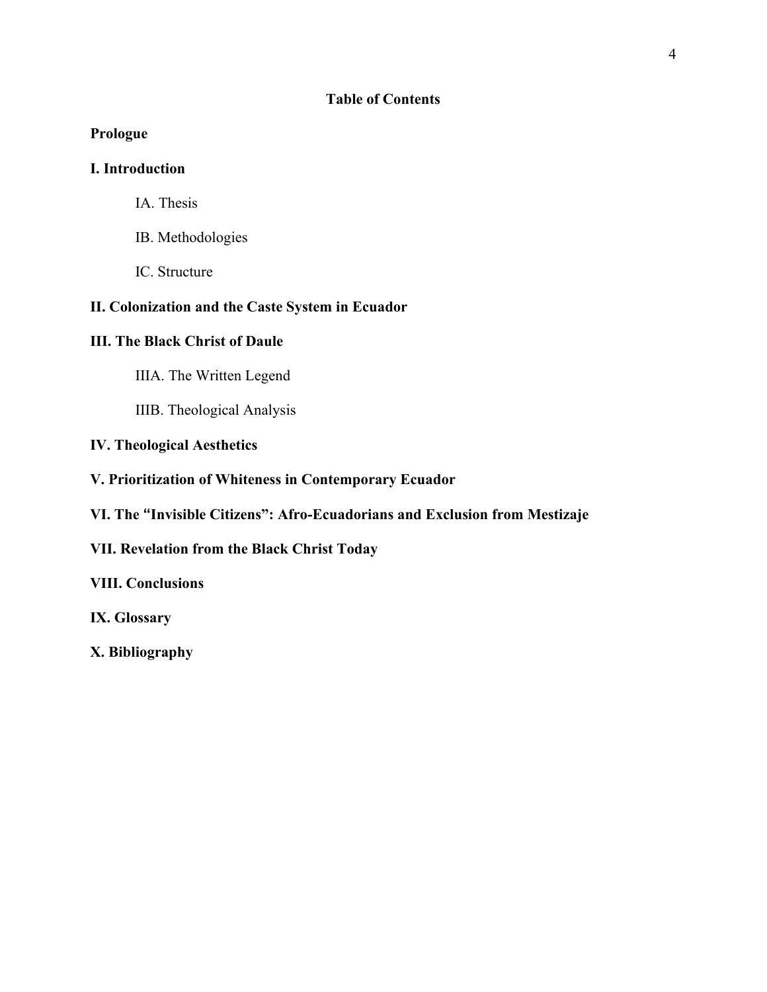# **Table of Contents**

# **Prologue**

# **I. Introduction**

- IA. Thesis
- IB. Methodologies
- IC. Structure

# **II. Colonization and the Caste System in Ecuador**

# **III. The Black Christ of Daule**

- IIIA. The Written Legend
- IIIB. Theological Analysis

# **IV. Theological Aesthetics**

- **V. Prioritization of Whiteness in Contemporary Ecuador**
- **VI. The "Invisible Citizens": Afro-Ecuadorians and Exclusion from Mestizaje**

# **VII. Revelation from the Black Christ Today**

# **VIII. Conclusions**

**IX. Glossary** 

**X. Bibliography**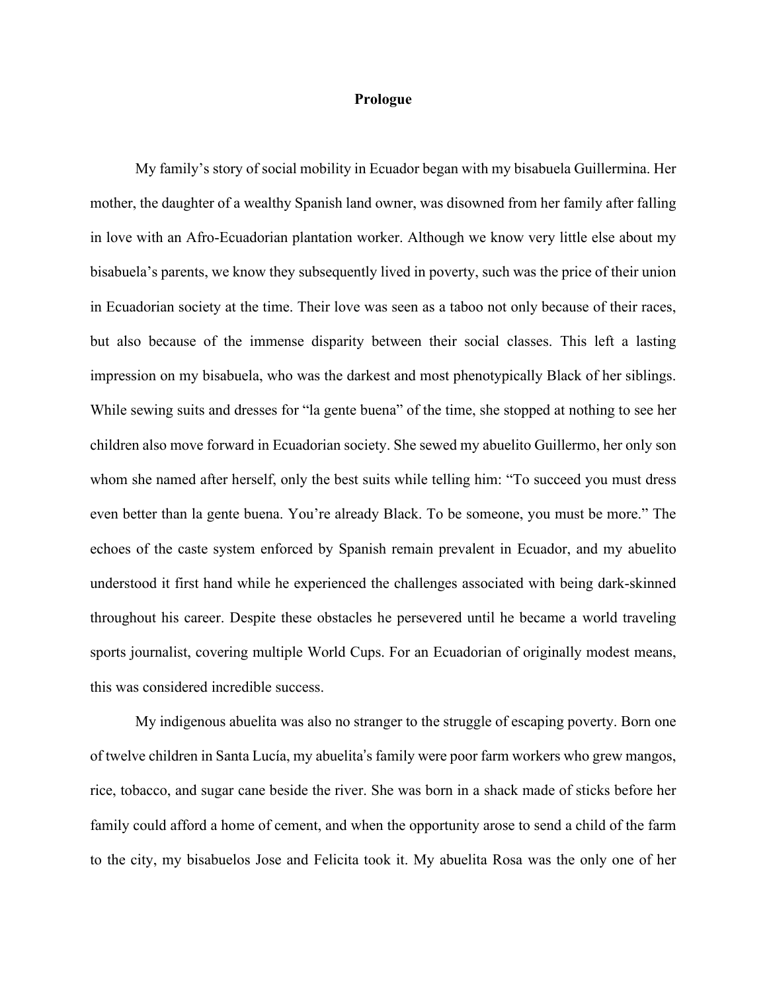# **Prologue**

My family's story of social mobility in Ecuador began with my bisabuela Guillermina. Her mother, the daughter of a wealthy Spanish land owner, was disowned from her family after falling in love with an Afro-Ecuadorian plantation worker. Although we know very little else about my bisabuela's parents, we know they subsequently lived in poverty, such was the price of their union in Ecuadorian society at the time. Their love was seen as a taboo not only because of their races, but also because of the immense disparity between their social classes. This left a lasting impression on my bisabuela, who was the darkest and most phenotypically Black of her siblings. While sewing suits and dresses for "la gente buena" of the time, she stopped at nothing to see her children also move forward in Ecuadorian society. She sewed my abuelito Guillermo, her only son whom she named after herself, only the best suits while telling him: "To succeed you must dress even better than la gente buena. You're already Black. To be someone, you must be more." The echoes of the caste system enforced by Spanish remain prevalent in Ecuador, and my abuelito understood it first hand while he experienced the challenges associated with being dark-skinned throughout his career. Despite these obstacles he persevered until he became a world traveling sports journalist, covering multiple World Cups. For an Ecuadorian of originally modest means, this was considered incredible success.

My indigenous abuelita was also no stranger to the struggle of escaping poverty. Born one of twelve children in Santa Lucía, my abuelita's family were poor farm workers who grew mangos, rice, tobacco, and sugar cane beside the river. She was born in a shack made of sticks before her family could afford a home of cement, and when the opportunity arose to send a child of the farm to the city, my bisabuelos Jose and Felicita took it. My abuelita Rosa was the only one of her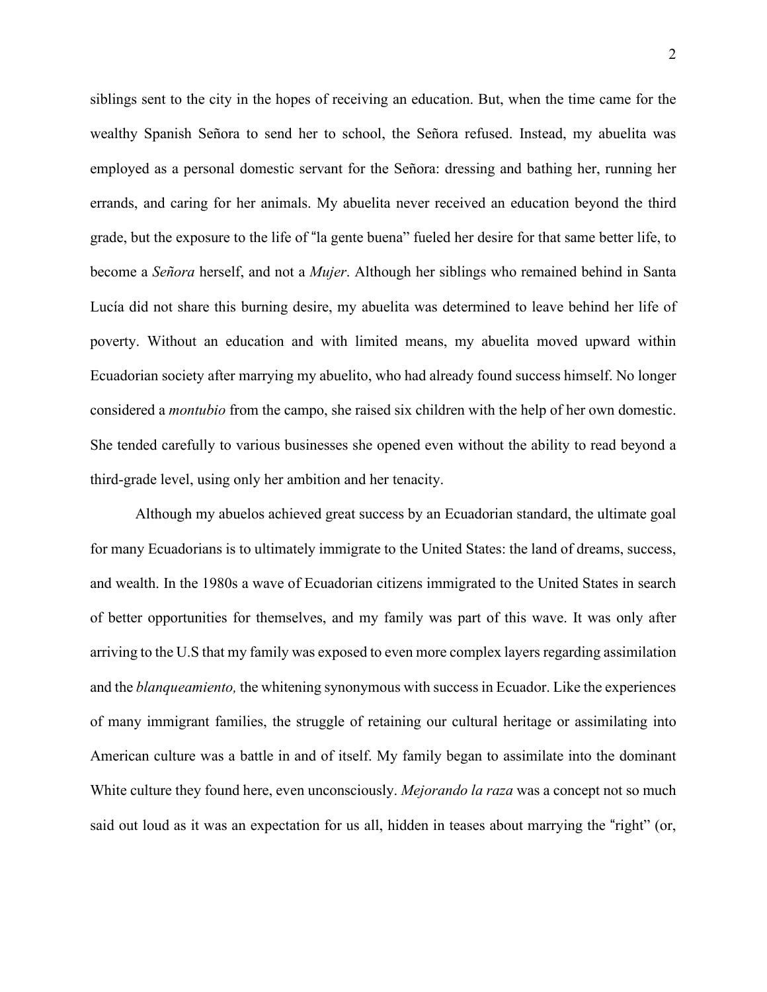siblings sent to the city in the hopes of receiving an education. But, when the time came for the wealthy Spanish Señora to send her to school, the Señora refused. Instead, my abuelita was employed as a personal domestic servant for the Señora: dressing and bathing her, running her errands, and caring for her animals. My abuelita never received an education beyond the third grade, but the exposure to the life of "la gente buena" fueled her desire for that same better life, to become a *Señora* herself, and not a *Mujer*. Although her siblings who remained behind in Santa Lucía did not share this burning desire, my abuelita was determined to leave behind her life of poverty. Without an education and with limited means, my abuelita moved upward within Ecuadorian society after marrying my abuelito, who had already found success himself. No longer considered a *montubio* from the campo, she raised six children with the help of her own domestic. She tended carefully to various businesses she opened even without the ability to read beyond a third-grade level, using only her ambition and her tenacity.

 Although my abuelos achieved great success by an Ecuadorian standard, the ultimate goal for many Ecuadorians is to ultimately immigrate to the United States: the land of dreams, success, and wealth. In the 1980s a wave of Ecuadorian citizens immigrated to the United States in search of better opportunities for themselves, and my family was part of this wave. It was only after arriving to the U.S that my family was exposed to even more complex layers regarding assimilation and the *blanqueamiento,* the whitening synonymous with success in Ecuador. Like the experiences of many immigrant families, the struggle of retaining our cultural heritage or assimilating into American culture was a battle in and of itself. My family began to assimilate into the dominant White culture they found here, even unconsciously. *Mejorando la raza* was a concept not so much said out loud as it was an expectation for us all, hidden in teases about marrying the "right" (or,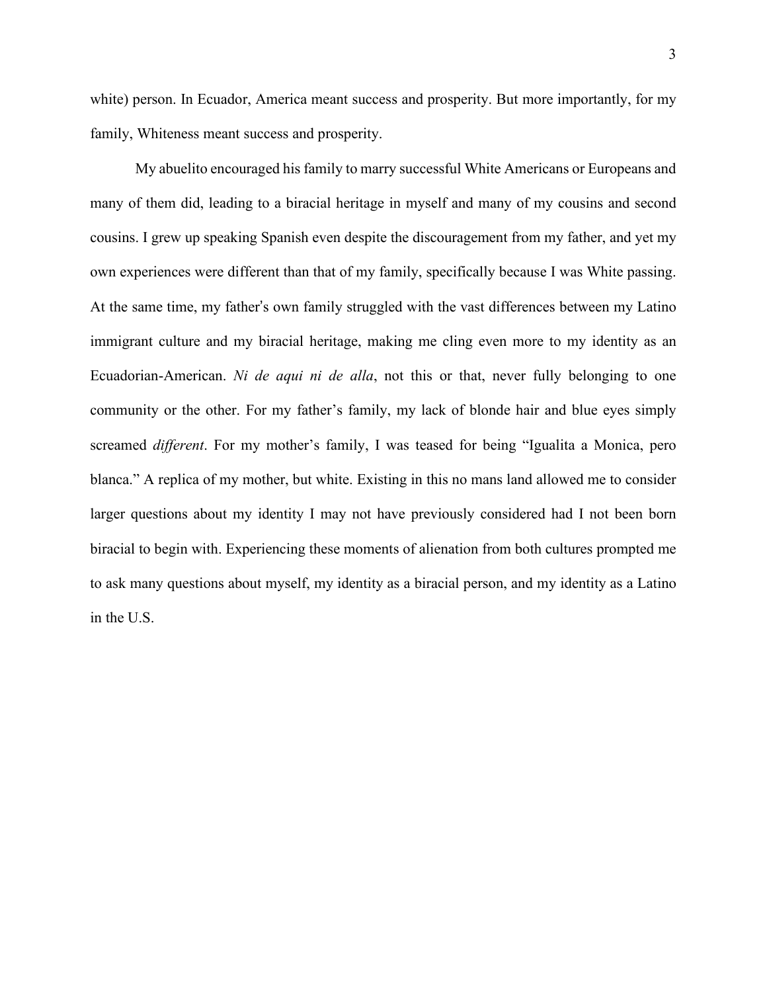white) person. In Ecuador, America meant success and prosperity. But more importantly, for my family, Whiteness meant success and prosperity.

My abuelito encouraged his family to marry successful White Americans or Europeans and many of them did, leading to a biracial heritage in myself and many of my cousins and second cousins. I grew up speaking Spanish even despite the discouragement from my father, and yet my own experiences were different than that of my family, specifically because I was White passing. At the same time, my father's own family struggled with the vast differences between my Latino immigrant culture and my biracial heritage, making me cling even more to my identity as an Ecuadorian-American. *Ni de aqui ni de alla*, not this or that, never fully belonging to one community or the other. For my father's family, my lack of blonde hair and blue eyes simply screamed *different*. For my mother's family, I was teased for being "Igualita a Monica, pero blanca." A replica of my mother, but white. Existing in this no mans land allowed me to consider larger questions about my identity I may not have previously considered had I not been born biracial to begin with. Experiencing these moments of alienation from both cultures prompted me to ask many questions about myself, my identity as a biracial person, and my identity as a Latino in the U.S.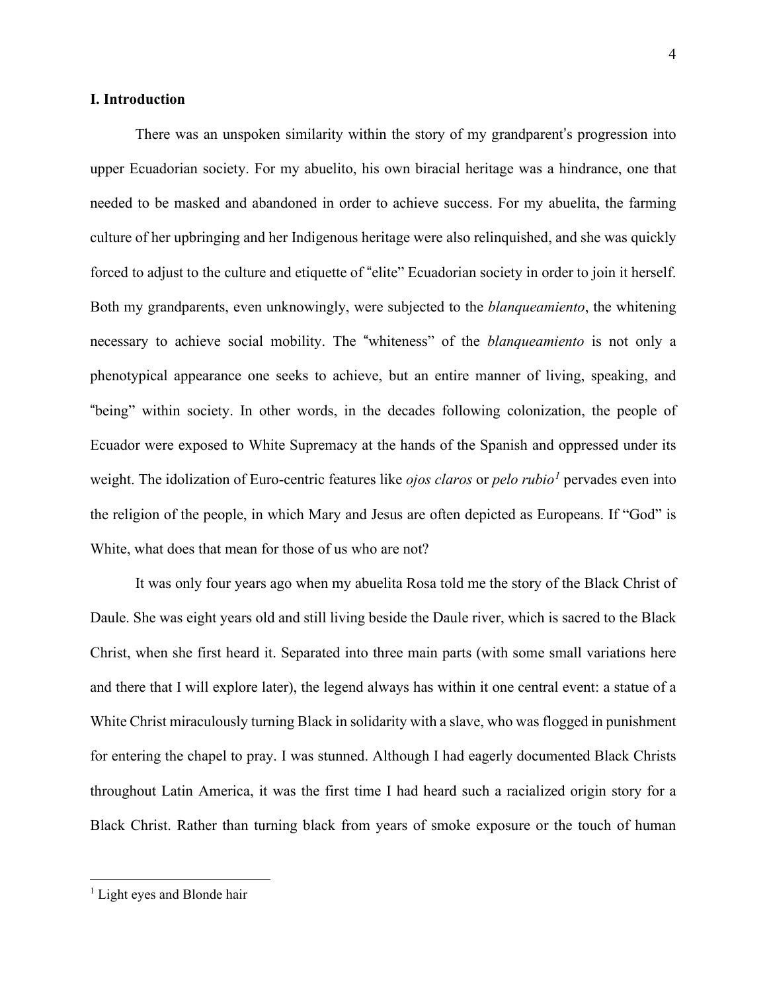# **I. Introduction**

There was an unspoken similarity within the story of my grandparent's progression into upper Ecuadorian society. For my abuelito, his own biracial heritage was a hindrance, one that needed to be masked and abandoned in order to achieve success. For my abuelita, the farming culture of her upbringing and her Indigenous heritage were also relinquished, and she was quickly forced to adjust to the culture and etiquette of "elite" Ecuadorian society in order to join it herself. Both my grandparents, even unknowingly, were subjected to the *blanqueamiento*, the whitening necessary to achieve social mobility. The "whiteness" of the *blanqueamiento* is not only a phenotypical appearance one seeks to achieve, but an entire manner of living, speaking, and "being" within society. In other words, in the decades following colonization, the people of Ecuador were exposed to White Supremacy at the hands of the Spanish and oppressed under its weight. The idolization of Euro-centric features like *ojos claros* or *pelo rubio<sup>1</sup>* pervades even into the religion of the people, in which Mary and Jesus are often depicted as Europeans. If "God" is White, what does that mean for those of us who are not?

It was only four years ago when my abuelita Rosa told me the story of the Black Christ of Daule. She was eight years old and still living beside the Daule river, which is sacred to the Black Christ, when she first heard it. Separated into three main parts (with some small variations here and there that I will explore later), the legend always has within it one central event: a statue of a White Christ miraculously turning Black in solidarity with a slave, who was flogged in punishment for entering the chapel to pray. I was stunned. Although I had eagerly documented Black Christs throughout Latin America, it was the first time I had heard such a racialized origin story for a Black Christ. Rather than turning black from years of smoke exposure or the touch of human

<sup>&</sup>lt;sup>1</sup> Light eyes and Blonde hair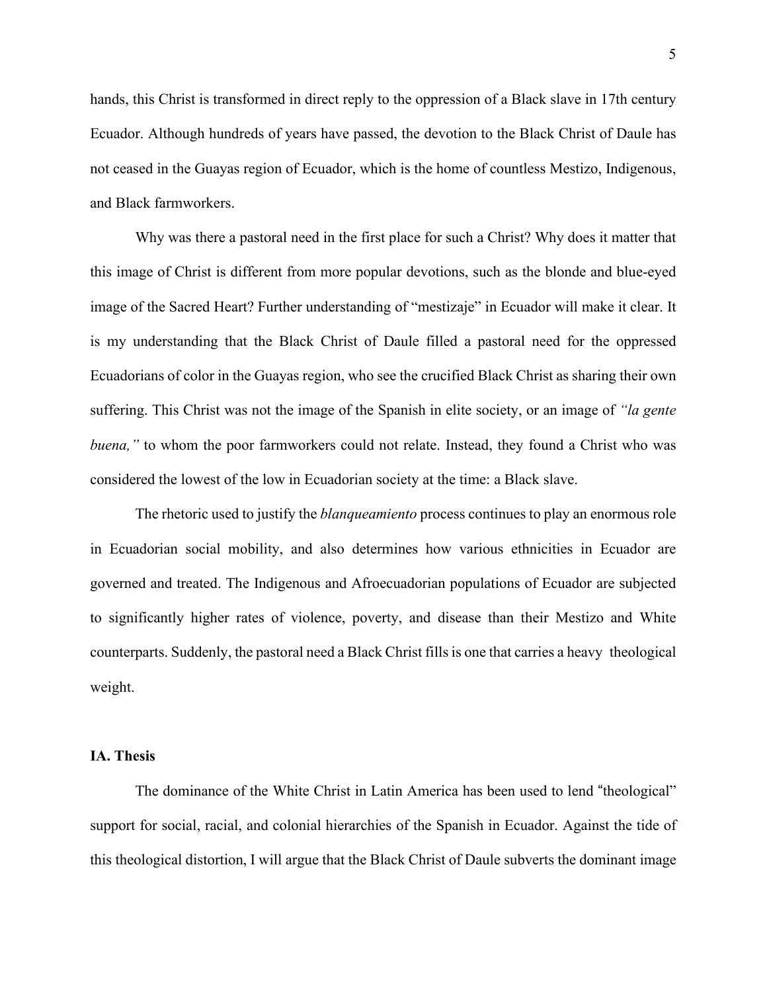hands, this Christ is transformed in direct reply to the oppression of a Black slave in 17th century Ecuador. Although hundreds of years have passed, the devotion to the Black Christ of Daule has not ceased in the Guayas region of Ecuador, which is the home of countless Mestizo, Indigenous, and Black farmworkers.

Why was there a pastoral need in the first place for such a Christ? Why does it matter that this image of Christ is different from more popular devotions, such as the blonde and blue-eyed image of the Sacred Heart? Further understanding of "mestizaje" in Ecuador will make it clear. It is my understanding that the Black Christ of Daule filled a pastoral need for the oppressed Ecuadorians of color in the Guayas region, who see the crucified Black Christ as sharing their own suffering. This Christ was not the image of the Spanish in elite society, or an image of *"la gente buena,*" to whom the poor farmworkers could not relate. Instead, they found a Christ who was considered the lowest of the low in Ecuadorian society at the time: a Black slave.

The rhetoric used to justify the *blanqueamiento* process continues to play an enormous role in Ecuadorian social mobility, and also determines how various ethnicities in Ecuador are governed and treated. The Indigenous and Afroecuadorian populations of Ecuador are subjected to significantly higher rates of violence, poverty, and disease than their Mestizo and White counterparts. Suddenly, the pastoral need a Black Christ fills is one that carries a heavy theological weight.

#### **IA. Thesis**

The dominance of the White Christ in Latin America has been used to lend "theological" support for social, racial, and colonial hierarchies of the Spanish in Ecuador. Against the tide of this theological distortion, I will argue that the Black Christ of Daule subverts the dominant image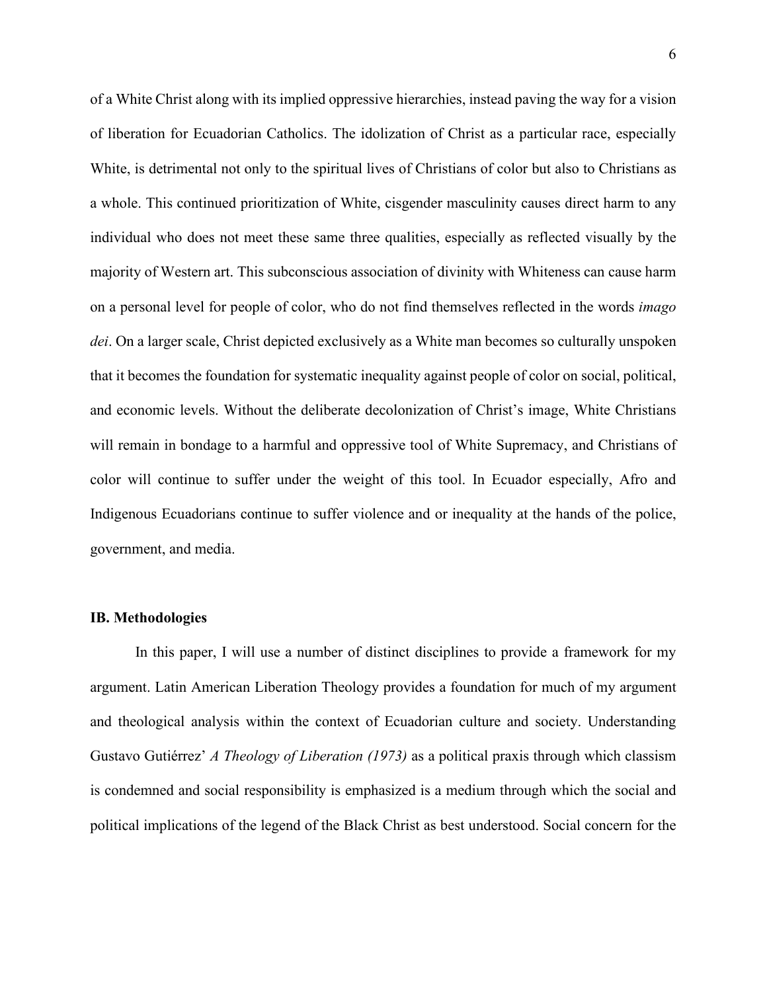of a White Christ along with its implied oppressive hierarchies, instead paving the way for a vision of liberation for Ecuadorian Catholics. The idolization of Christ as a particular race, especially White, is detrimental not only to the spiritual lives of Christians of color but also to Christians as a whole. This continued prioritization of White, cisgender masculinity causes direct harm to any individual who does not meet these same three qualities, especially as reflected visually by the majority of Western art. This subconscious association of divinity with Whiteness can cause harm on a personal level for people of color, who do not find themselves reflected in the words *imago dei*. On a larger scale, Christ depicted exclusively as a White man becomes so culturally unspoken that it becomes the foundation for systematic inequality against people of color on social, political, and economic levels. Without the deliberate decolonization of Christ's image, White Christians will remain in bondage to a harmful and oppressive tool of White Supremacy, and Christians of color will continue to suffer under the weight of this tool. In Ecuador especially, Afro and Indigenous Ecuadorians continue to suffer violence and or inequality at the hands of the police, government, and media.

#### **IB. Methodologies**

In this paper, I will use a number of distinct disciplines to provide a framework for my argument. Latin American Liberation Theology provides a foundation for much of my argument and theological analysis within the context of Ecuadorian culture and society. Understanding Gustavo Gutiérrez' *A Theology of Liberation (1973)* as a political praxis through which classism is condemned and social responsibility is emphasized is a medium through which the social and political implications of the legend of the Black Christ as best understood. Social concern for the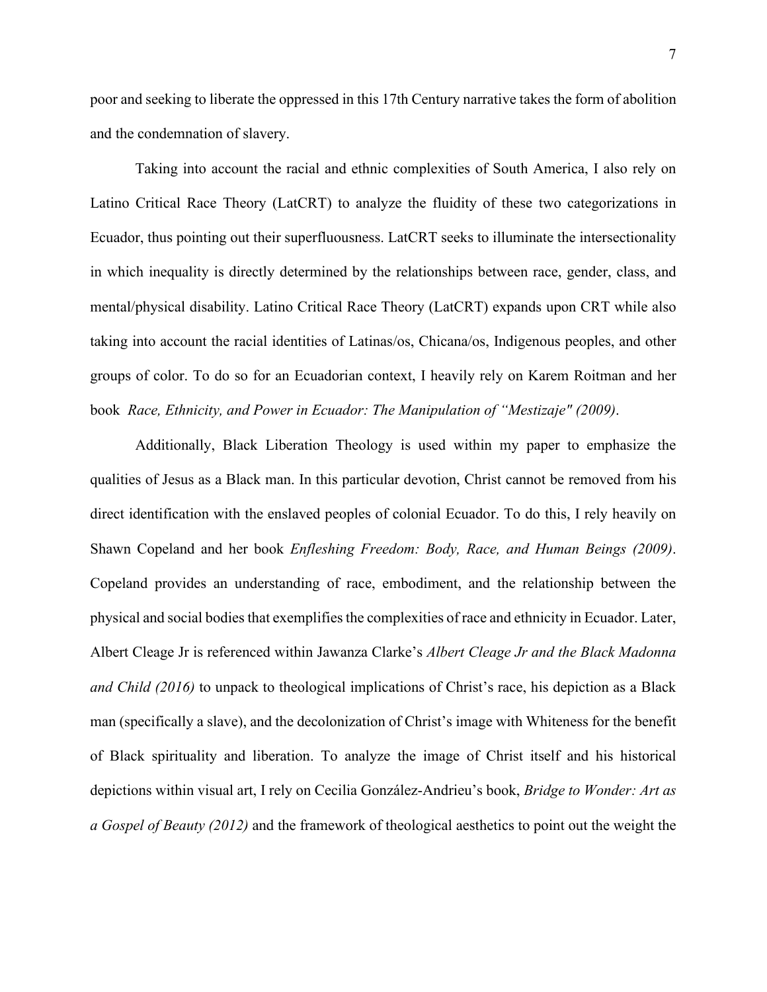poor and seeking to liberate the oppressed in this 17th Century narrative takes the form of abolition and the condemnation of slavery.

 Taking into account the racial and ethnic complexities of South America, I also rely on Latino Critical Race Theory (LatCRT) to analyze the fluidity of these two categorizations in Ecuador, thus pointing out their superfluousness. LatCRT seeks to illuminate the intersectionality in which inequality is directly determined by the relationships between race, gender, class, and mental/physical disability. Latino Critical Race Theory (LatCRT) expands upon CRT while also taking into account the racial identities of Latinas/os, Chicana/os, Indigenous peoples, and other groups of color. To do so for an Ecuadorian context, I heavily rely on Karem Roitman and her book *Race, Ethnicity, and Power in Ecuador: The Manipulation of "Mestizaje" (2009)*.

 Additionally, Black Liberation Theology is used within my paper to emphasize the qualities of Jesus as a Black man. In this particular devotion, Christ cannot be removed from his direct identification with the enslaved peoples of colonial Ecuador. To do this, I rely heavily on Shawn Copeland and her book *Enfleshing Freedom: Body, Race, and Human Beings (2009)*. Copeland provides an understanding of race, embodiment, and the relationship between the physical and social bodies that exemplifies the complexities of race and ethnicity in Ecuador. Later, Albert Cleage Jr is referenced within Jawanza Clarke's *Albert Cleage Jr and the Black Madonna and Child (2016)* to unpack to theological implications of Christ's race, his depiction as a Black man (specifically a slave), and the decolonization of Christ's image with Whiteness for the benefit of Black spirituality and liberation. To analyze the image of Christ itself and his historical depictions within visual art, I rely on Cecilia González-Andrieu's book, *Bridge to Wonder: Art as a Gospel of Beauty (2012)* and the framework of theological aesthetics to point out the weight the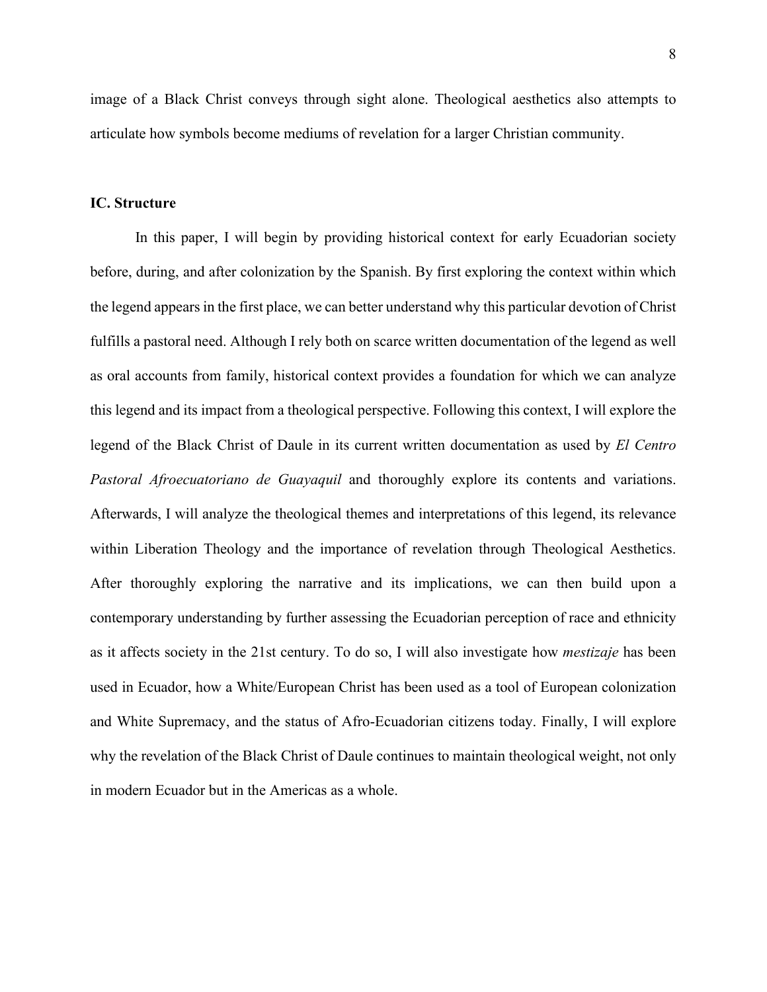image of a Black Christ conveys through sight alone. Theological aesthetics also attempts to articulate how symbols become mediums of revelation for a larger Christian community.

## **IC. Structure**

In this paper, I will begin by providing historical context for early Ecuadorian society before, during, and after colonization by the Spanish. By first exploring the context within which the legend appearsin the first place, we can better understand why this particular devotion of Christ fulfills a pastoral need. Although I rely both on scarce written documentation of the legend as well as oral accounts from family, historical context provides a foundation for which we can analyze this legend and its impact from a theological perspective. Following this context, I will explore the legend of the Black Christ of Daule in its current written documentation as used by *El Centro Pastoral Afroecuatoriano de Guayaquil* and thoroughly explore its contents and variations. Afterwards, I will analyze the theological themes and interpretations of this legend, its relevance within Liberation Theology and the importance of revelation through Theological Aesthetics. After thoroughly exploring the narrative and its implications, we can then build upon a contemporary understanding by further assessing the Ecuadorian perception of race and ethnicity as it affects society in the 21st century. To do so, I will also investigate how *mestizaje* has been used in Ecuador, how a White/European Christ has been used as a tool of European colonization and White Supremacy, and the status of Afro-Ecuadorian citizens today. Finally, I will explore why the revelation of the Black Christ of Daule continues to maintain theological weight, not only in modern Ecuador but in the Americas as a whole.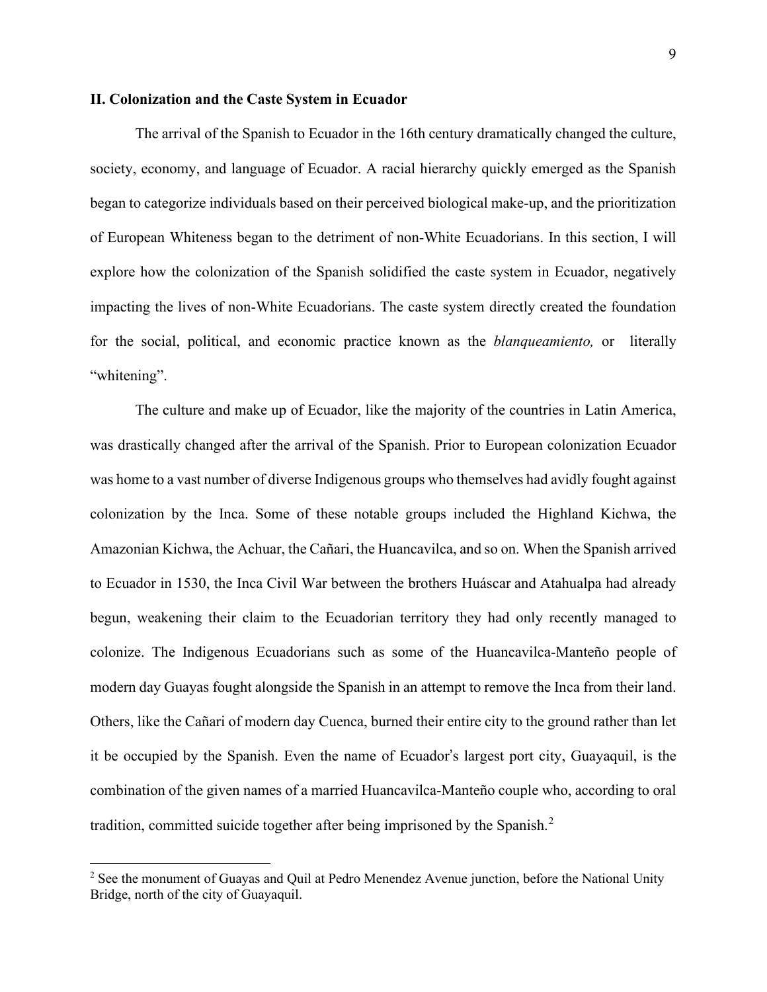# **II. Colonization and the Caste System in Ecuador**

The arrival of the Spanish to Ecuador in the 16th century dramatically changed the culture, society, economy, and language of Ecuador. A racial hierarchy quickly emerged as the Spanish began to categorize individuals based on their perceived biological make-up, and the prioritization of European Whiteness began to the detriment of non-White Ecuadorians. In this section, I will explore how the colonization of the Spanish solidified the caste system in Ecuador, negatively impacting the lives of non-White Ecuadorians. The caste system directly created the foundation for the social, political, and economic practice known as the *blanqueamiento,* or literally "whitening".

The culture and make up of Ecuador, like the majority of the countries in Latin America, was drastically changed after the arrival of the Spanish. Prior to European colonization Ecuador was home to a vast number of diverse Indigenous groups who themselves had avidly fought against colonization by the Inca. Some of these notable groups included the Highland Kichwa, the Amazonian Kichwa, the Achuar, the Cañari, the Huancavilca, and so on. When the Spanish arrived to Ecuador in 1530, the Inca Civil War between the brothers Huáscar and Atahualpa had already begun, weakening their claim to the Ecuadorian territory they had only recently managed to colonize. The Indigenous Ecuadorians such as some of the Huancavilca-Manteño people of modern day Guayas fought alongside the Spanish in an attempt to remove the Inca from their land. Others, like the Cañari of modern day Cuenca, burned their entire city to the ground rather than let it be occupied by the Spanish. Even the name of Ecuador's largest port city, Guayaquil, is the combination of the given names of a married Huancavilca-Manteño couple who, according to oral tradition, committed suicide together after being imprisoned by the Spanish.<sup>[2](#page-13-0)</sup>

<span id="page-13-0"></span><sup>&</sup>lt;sup>2</sup> See the monument of Guayas and Quil at Pedro Menendez Avenue junction, before the National Unity Bridge, north of the city of Guayaquil.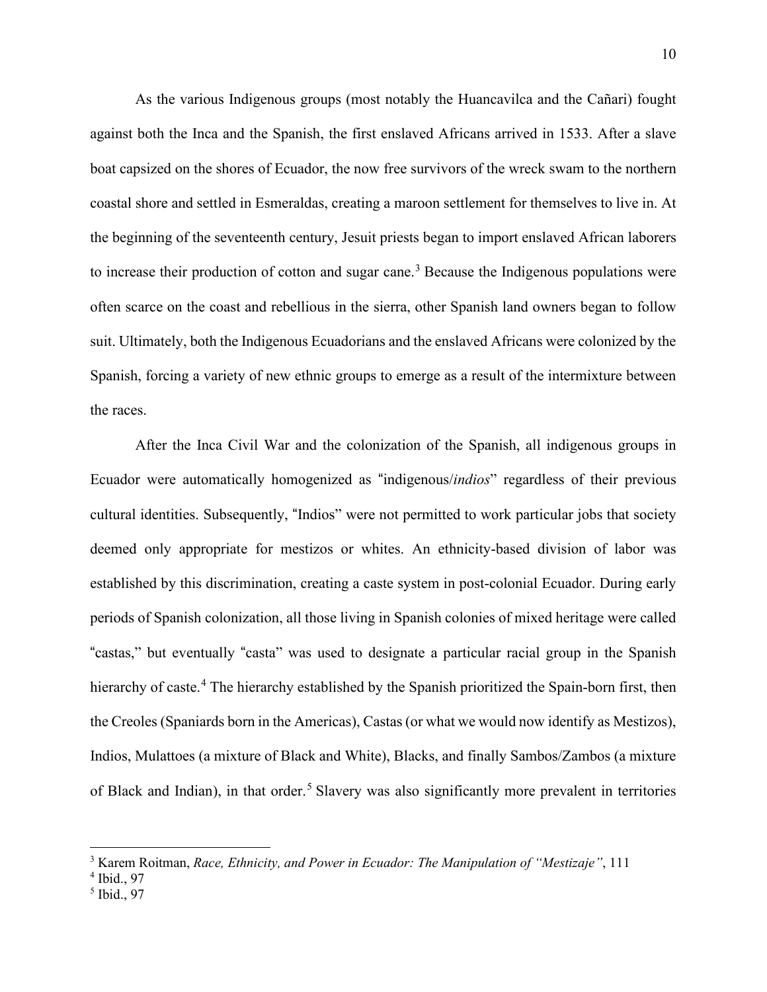As the various Indigenous groups (most notably the Huancavilca and the Cañari) fought against both the Inca and the Spanish, the first enslaved Africans arrived in 1533. After a slave boat capsized on the shores of Ecuador, the now free survivors of the wreck swam to the northern coastal shore and settled in Esmeraldas, creating a maroon settlement for themselves to live in. At the beginning of the seventeenth century, Jesuit priests began to import enslaved African laborers to increase their production of cotton and sugar cane.<sup>[3](#page-14-0)</sup> Because the Indigenous populations were often scarce on the coast and rebellious in the sierra, other Spanish land owners began to follow suit. Ultimately, both the Indigenous Ecuadorians and the enslaved Africans were colonized by the Spanish, forcing a variety of new ethnic groups to emerge as a result of the intermixture between the races.

After the Inca Civil War and the colonization of the Spanish, all indigenous groups in Ecuador were automatically homogenized as "indigenous/*indios*" regardless of their previous cultural identities. Subsequently, "Indios" were not permitted to work particular jobs that society deemed only appropriate for mestizos or whites. An ethnicity-based division of labor was established by this discrimination, creating a caste system in post-colonial Ecuador. During early periods of Spanish colonization, all those living in Spanish colonies of mixed heritage were called "castas," but eventually "casta" was used to designate a particular racial group in the Spanish hierarchy of caste.<sup>4</sup> The hierarchy established by the Spanish prioritized the Spain-born first, then the Creoles (Spaniards born in the Americas), Castas (or what we would now identify as Mestizos), Indios, Mulattoes (a mixture of Black and White), Blacks, and finally Sambos/Zambos (a mixture of Black and Indian), in that order.<sup>5</sup> Slavery was also significantly more prevalent in territories

<span id="page-14-0"></span><sup>3</sup> Karem Roitman, *Race, Ethnicity, and Power in Ecuador: The Manipulation of "Mestizaje"*, 111

<sup>4</sup> Ibid., 97

<sup>5</sup> Ibid., 97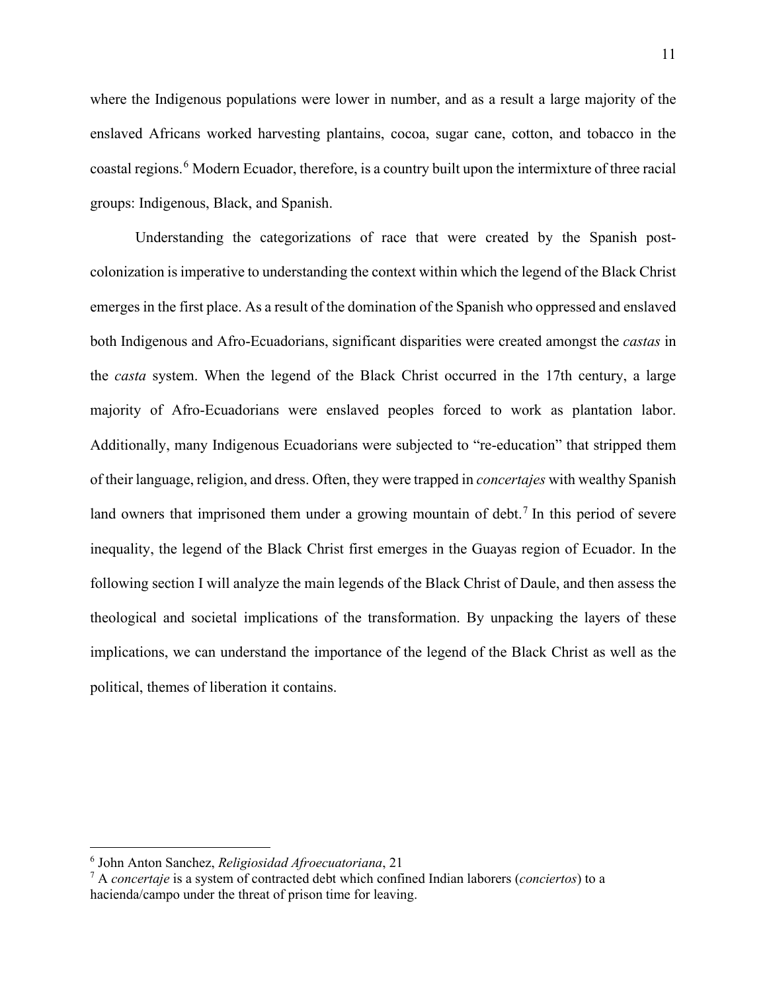where the Indigenous populations were lower in number, and as a result a large majority of the enslaved Africans worked harvesting plantains, cocoa, sugar cane, cotton, and tobacco in the coastal regions.<sup>[6](#page-15-0)</sup> Modern Ecuador, therefore, is a country built upon the intermixture of three racial groups: Indigenous, Black, and Spanish.

 Understanding the categorizations of race that were created by the Spanish postcolonization is imperative to understanding the context within which the legend of the Black Christ emerges in the first place. As a result of the domination of the Spanish who oppressed and enslaved both Indigenous and Afro-Ecuadorians, significant disparities were created amongst the *castas* in the *casta* system. When the legend of the Black Christ occurred in the 17th century, a large majority of Afro-Ecuadorians were enslaved peoples forced to work as plantation labor. Additionally, many Indigenous Ecuadorians were subjected to "re-education" that stripped them of their language, religion, and dress. Often, they were trapped in *concertajes* with wealthy Spanish land owners that imprisoned them under a growing mountain of debt.<sup>[7](#page-15-1)</sup> In this period of severe inequality, the legend of the Black Christ first emerges in the Guayas region of Ecuador. In the following section I will analyze the main legends of the Black Christ of Daule, and then assess the theological and societal implications of the transformation. By unpacking the layers of these implications, we can understand the importance of the legend of the Black Christ as well as the political, themes of liberation it contains.

<span id="page-15-0"></span><sup>6</sup> John Anton Sanchez, *Religiosidad Afroecuatoriana*, 21

<span id="page-15-1"></span><sup>7</sup> A *concertaje* is a system of contracted debt which confined Indian laborers (*conciertos*) to a hacienda/campo under the threat of prison time for leaving.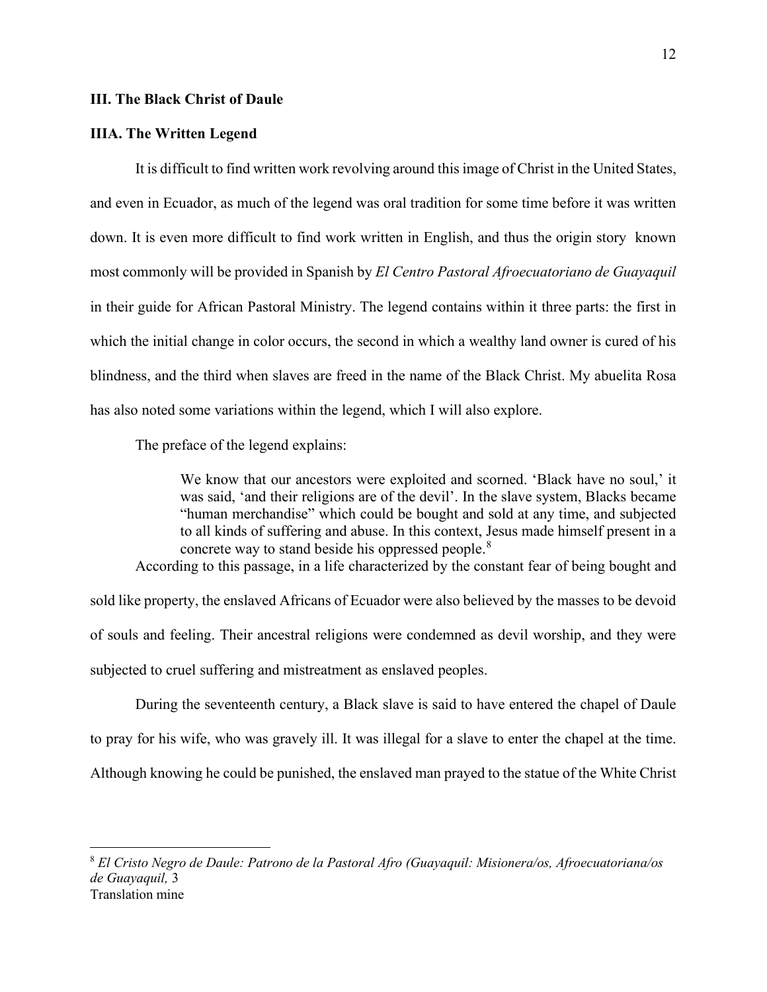# **III. The Black Christ of Daule**

#### **IIIA. The Written Legend**

It is difficult to find written work revolving around this image of Christ in the United States, and even in Ecuador, as much of the legend was oral tradition for some time before it was written down. It is even more difficult to find work written in English, and thus the origin story known most commonly will be provided in Spanish by *El Centro Pastoral Afroecuatoriano de Guayaquil* in their guide for African Pastoral Ministry. The legend contains within it three parts: the first in which the initial change in color occurs, the second in which a wealthy land owner is cured of his blindness, and the third when slaves are freed in the name of the Black Christ. My abuelita Rosa has also noted some variations within the legend, which I will also explore.

The preface of the legend explains:

We know that our ancestors were exploited and scorned. 'Black have no soul,' it was said, 'and their religions are of the devil'. In the slave system, Blacks became "human merchandise" which could be bought and sold at any time, and subjected to all kinds of suffering and abuse. In this context, Jesus made himself present in a concrete way to stand beside his oppressed people.<sup>[8](#page-16-0)</sup>

According to this passage, in a life characterized by the constant fear of being bought and

sold like property, the enslaved Africans of Ecuador were also believed by the masses to be devoid of souls and feeling. Their ancestral religions were condemned as devil worship, and they were subjected to cruel suffering and mistreatment as enslaved peoples.

 During the seventeenth century, a Black slave is said to have entered the chapel of Daule to pray for his wife, who was gravely ill. It was illegal for a slave to enter the chapel at the time. Although knowing he could be punished, the enslaved man prayed to the statue of the White Christ

<span id="page-16-0"></span><sup>8</sup> *El Cristo Negro de Daule: Patrono de la Pastoral Afro (Guayaquil: Misionera/os, Afroecuatoriana/os de Guayaquil,* 3 Translation mine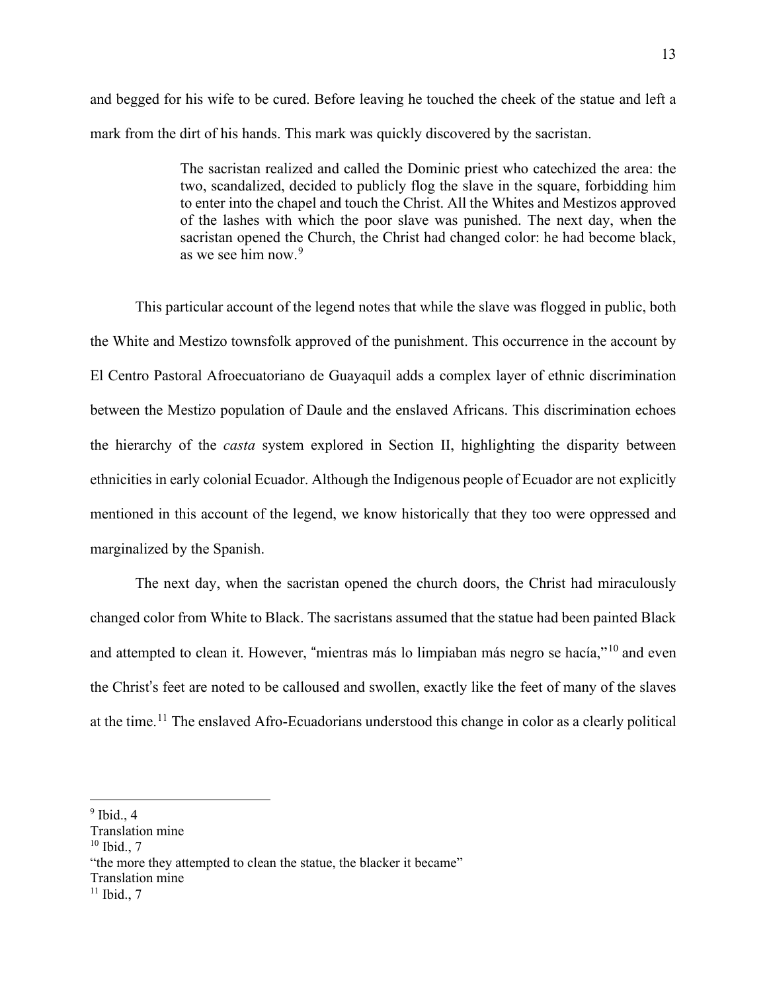and begged for his wife to be cured. Before leaving he touched the cheek of the statue and left a mark from the dirt of his hands. This mark was quickly discovered by the sacristan.

> The sacristan realized and called the Dominic priest who catechized the area: the two, scandalized, decided to publicly flog the slave in the square, forbidding him to enter into the chapel and touch the Christ. All the Whites and Mestizos approved of the lashes with which the poor slave was punished. The next day, when the sacristan opened the Church, the Christ had changed color: he had become black, as we see him now.[9](#page-17-0)

This particular account of the legend notes that while the slave was flogged in public, both the White and Mestizo townsfolk approved of the punishment. This occurrence in the account by El Centro Pastoral Afroecuatoriano de Guayaquil adds a complex layer of ethnic discrimination between the Mestizo population of Daule and the enslaved Africans. This discrimination echoes the hierarchy of the *casta* system explored in Section II, highlighting the disparity between ethnicities in early colonial Ecuador. Although the Indigenous people of Ecuador are not explicitly mentioned in this account of the legend, we know historically that they too were oppressed and marginalized by the Spanish.

The next day, when the sacristan opened the church doors, the Christ had miraculously changed color from White to Black. The sacristans assumed that the statue had been painted Black and attempted to clean it. However, "mientras más lo limpiaban más negro se hacía,"<sup>10</sup> and even the Christ's feet are noted to be calloused and swollen, exactly like the feet of many of the slaves at the time.<sup>11</sup> The enslaved Afro-Ecuadorians understood this change in color as a clearly political

Translation mine

<span id="page-17-0"></span> $<sup>9</sup>$  Ibid., 4</sup>

Translation mine

 $10$  Ibid., 7

<sup>&</sup>quot;the more they attempted to clean the statue, the blacker it became"

 $11$  Ibid., 7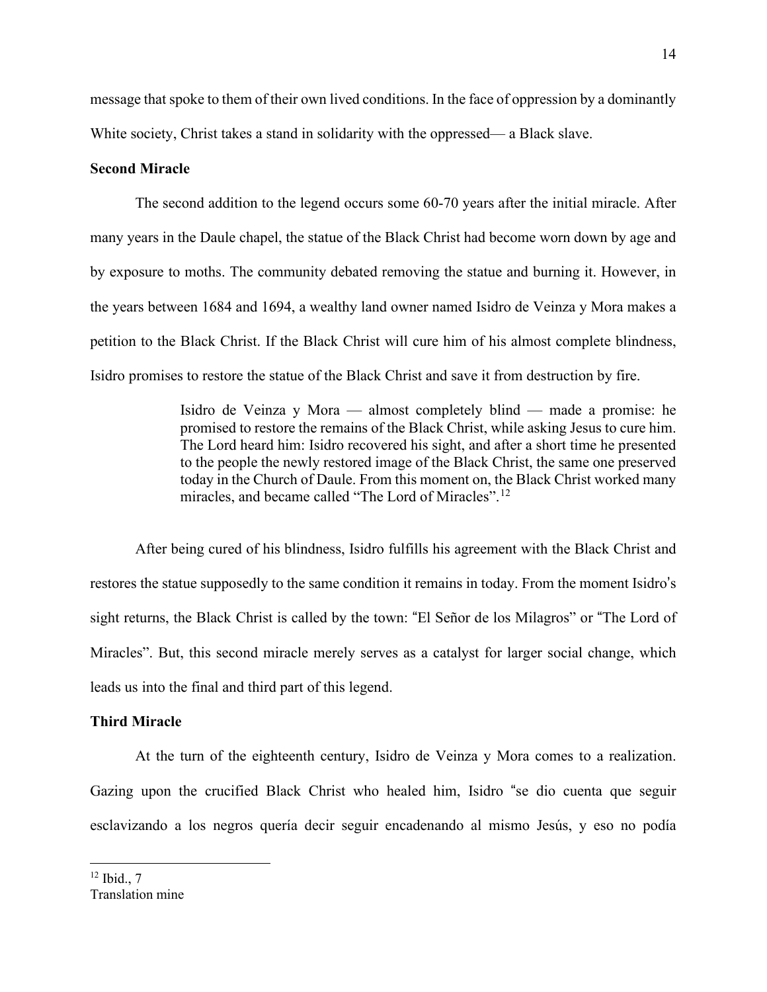message that spoke to them of their own lived conditions. In the face of oppression by a dominantly White society, Christ takes a stand in solidarity with the oppressed— a Black slave.

# **Second Miracle**

The second addition to the legend occurs some 60-70 years after the initial miracle. After many years in the Daule chapel, the statue of the Black Christ had become worn down by age and by exposure to moths. The community debated removing the statue and burning it. However, in the years between 1684 and 1694, a wealthy land owner named Isidro de Veinza y Mora makes a petition to the Black Christ. If the Black Christ will cure him of his almost complete blindness, Isidro promises to restore the statue of the Black Christ and save it from destruction by fire.

> Isidro de Veinza y Mora — almost completely blind — made a promise: he promised to restore the remains of the Black Christ, while asking Jesus to cure him. The Lord heard him: Isidro recovered his sight, and after a short time he presented to the people the newly restored image of the Black Christ, the same one preserved today in the Church of Daule. From this moment on, the Black Christ worked many miracles, and became called "The Lord of Miracles".[12](#page-18-0)

After being cured of his blindness, Isidro fulfills his agreement with the Black Christ and restores the statue supposedly to the same condition it remains in today. From the moment Isidro's sight returns, the Black Christ is called by the town: "El Señor de los Milagros" or "The Lord of Miracles". But, this second miracle merely serves as a catalyst for larger social change, which leads us into the final and third part of this legend.

## **Third Miracle**

<span id="page-18-0"></span>At the turn of the eighteenth century, Isidro de Veinza y Mora comes to a realization. Gazing upon the crucified Black Christ who healed him, Isidro "se dio cuenta que seguir esclavizando a los negros quería decir seguir encadenando al mismo Jesús, y eso no podía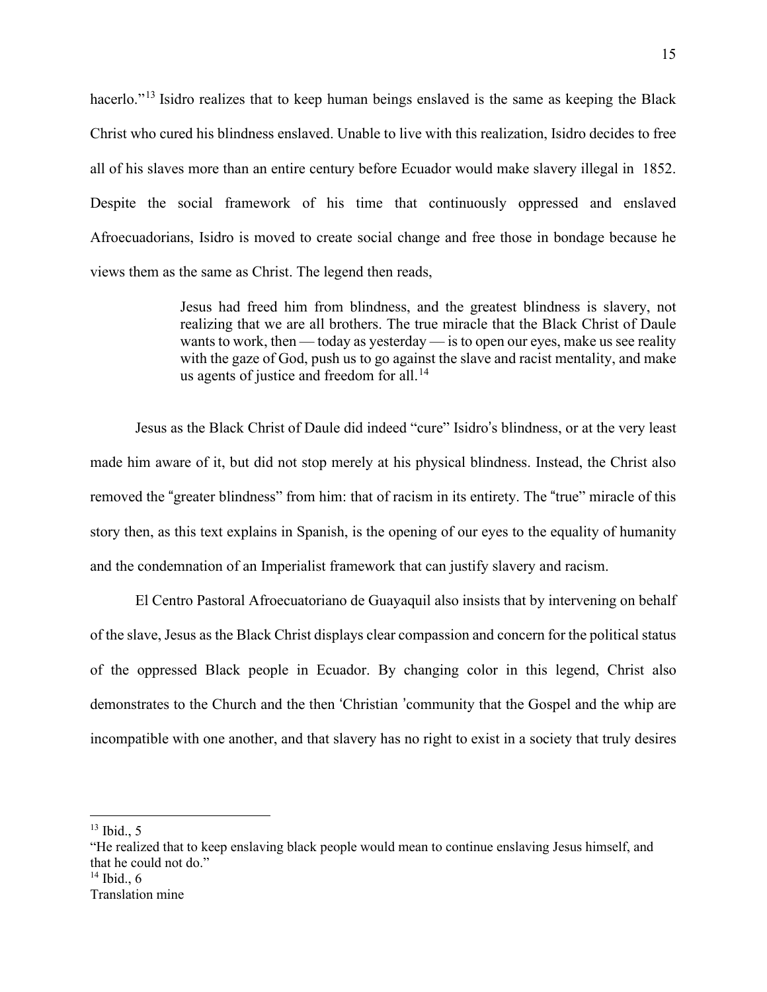hacerlo."<sup>[13](#page-19-0)</sup> Isidro realizes that to keep human beings enslaved is the same as keeping the Black Christ who cured his blindness enslaved. Unable to live with this realization, Isidro decides to free all of his slaves more than an entire century before Ecuador would make slavery illegal in 1852. Despite the social framework of his time that continuously oppressed and enslaved Afroecuadorians, Isidro is moved to create social change and free those in bondage because he views them as the same as Christ. The legend then reads,

> Jesus had freed him from blindness, and the greatest blindness is slavery, not realizing that we are all brothers. The true miracle that the Black Christ of Daule wants to work, then — today as yesterday — is to open our eyes, make us see reality with the gaze of God, push us to go against the slave and racist mentality, and make us agents of justice and freedom for all.<sup>[14](#page-19-1)</sup>

Jesus as the Black Christ of Daule did indeed "cure" Isidro's blindness, or at the very least made him aware of it, but did not stop merely at his physical blindness. Instead, the Christ also removed the "greater blindness" from him: that of racism in its entirety. The "true" miracle of this story then, as this text explains in Spanish, is the opening of our eyes to the equality of humanity and the condemnation of an Imperialist framework that can justify slavery and racism.

El Centro Pastoral Afroecuatoriano de Guayaquil also insists that by intervening on behalf of the slave, Jesus as the Black Christ displays clear compassion and concern for the political status of the oppressed Black people in Ecuador. By changing color in this legend, Christ also demonstrates to the Church and the then 'Christian 'community that the Gospel and the whip are incompatible with one another, and that slavery has no right to exist in a society that truly desires

<span id="page-19-0"></span> $13$  Ibid., 5

<span id="page-19-1"></span><sup>&</sup>quot;He realized that to keep enslaving black people would mean to continue enslaving Jesus himself, and that he could not do."  $14$  Ibid., 6 Translation mine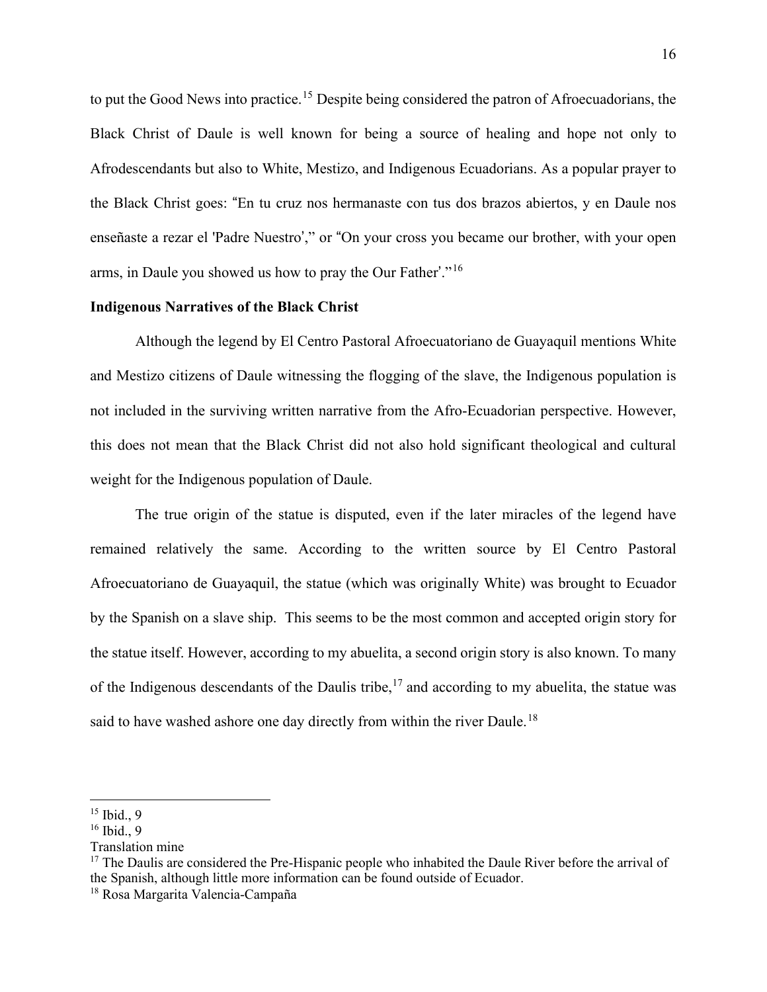to put the Good News into practice.<sup>[15](#page-20-0)</sup> Despite being considered the patron of Afroecuadorians, the Black Christ of Daule is well known for being a source of healing and hope not only to Afrodescendants but also to White, Mestizo, and Indigenous Ecuadorians. As a popular prayer to the Black Christ goes: "En tu cruz nos hermanaste con tus dos brazos abiertos, y en Daule nos enseñaste a rezar el 'Padre Nuestro'," or "On your cross you became our brother, with your open arms, in Daule you showed us how to pray the Our Father'."<sup>16</sup>

## **Indigenous Narratives of the Black Christ**

Although the legend by El Centro Pastoral Afroecuatoriano de Guayaquil mentions White and Mestizo citizens of Daule witnessing the flogging of the slave, the Indigenous population is not included in the surviving written narrative from the Afro-Ecuadorian perspective. However, this does not mean that the Black Christ did not also hold significant theological and cultural weight for the Indigenous population of Daule.

The true origin of the statue is disputed, even if the later miracles of the legend have remained relatively the same. According to the written source by El Centro Pastoral Afroecuatoriano de Guayaquil, the statue (which was originally White) was brought to Ecuador by the Spanish on a slave ship. This seems to be the most common and accepted origin story for the statue itself. However, according to my abuelita, a second origin story is also known. To many of the Indigenous descendants of the Daulis tribe,  $17$  and according to my abuelita, the statue was said to have washed ashore one day directly from within the river Daule.<sup>[18](#page-20-2)</sup>

<span id="page-20-0"></span> $15$  Ibid., 9

 $16$  Ibid., 9

Translation mine

<span id="page-20-1"></span><sup>&</sup>lt;sup>17</sup> The Daulis are considered the Pre-Hispanic people who inhabited the Daule River before the arrival of the Spanish, although little more information can be found outside of Ecuador.

<span id="page-20-2"></span><sup>18</sup> Rosa Margarita Valencia-Campaña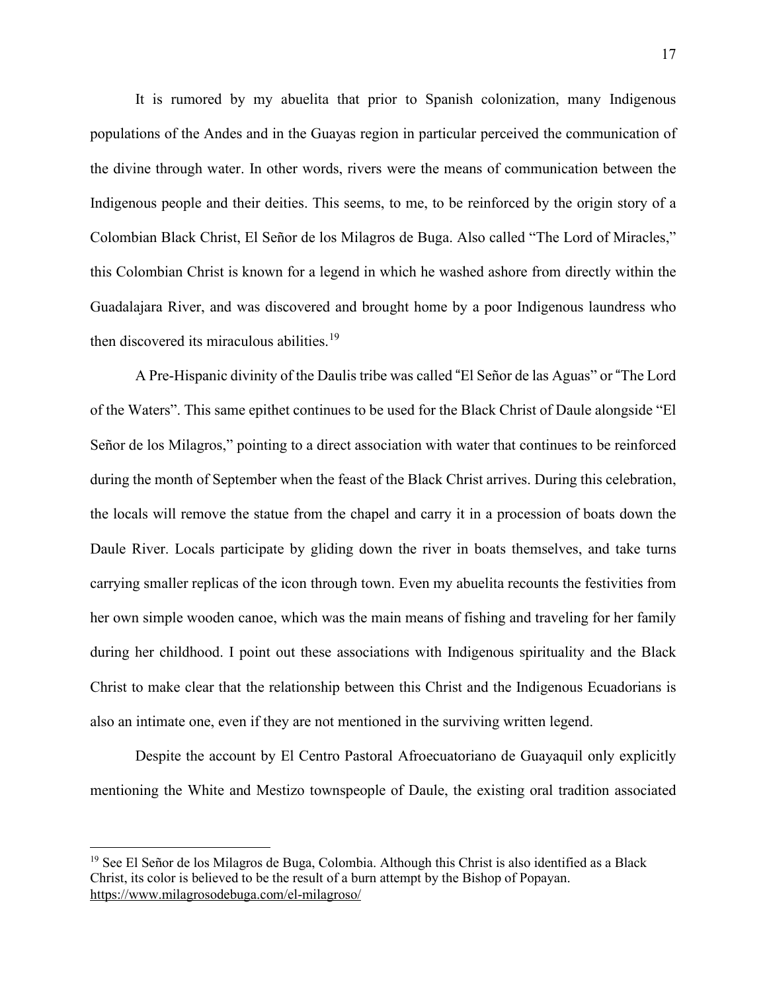It is rumored by my abuelita that prior to Spanish colonization, many Indigenous populations of the Andes and in the Guayas region in particular perceived the communication of the divine through water. In other words, rivers were the means of communication between the Indigenous people and their deities. This seems, to me, to be reinforced by the origin story of a Colombian Black Christ, El Señor de los Milagros de Buga. Also called "The Lord of Miracles," this Colombian Christ is known for a legend in which he washed ashore from directly within the Guadalajara River, and was discovered and brought home by a poor Indigenous laundress who then discovered its miraculous abilities.<sup>[19](#page-21-0)</sup>

 A Pre-Hispanic divinity of the Daulis tribe was called "El Señor de las Aguas" or "The Lord of the Waters". This same epithet continues to be used for the Black Christ of Daule alongside "El Señor de los Milagros," pointing to a direct association with water that continues to be reinforced during the month of September when the feast of the Black Christ arrives. During this celebration, the locals will remove the statue from the chapel and carry it in a procession of boats down the Daule River. Locals participate by gliding down the river in boats themselves, and take turns carrying smaller replicas of the icon through town. Even my abuelita recounts the festivities from her own simple wooden canoe, which was the main means of fishing and traveling for her family during her childhood. I point out these associations with Indigenous spirituality and the Black Christ to make clear that the relationship between this Christ and the Indigenous Ecuadorians is also an intimate one, even if they are not mentioned in the surviving written legend.

Despite the account by El Centro Pastoral Afroecuatoriano de Guayaquil only explicitly mentioning the White and Mestizo townspeople of Daule, the existing oral tradition associated

<span id="page-21-0"></span><sup>&</sup>lt;sup>19</sup> See El Señor de los Milagros de Buga, Colombia. Although this Christ is also identified as a Black Christ, its color is believed to be the result of a burn attempt by the Bishop of Popayan. <https://www.milagrosodebuga.com/el-milagroso/>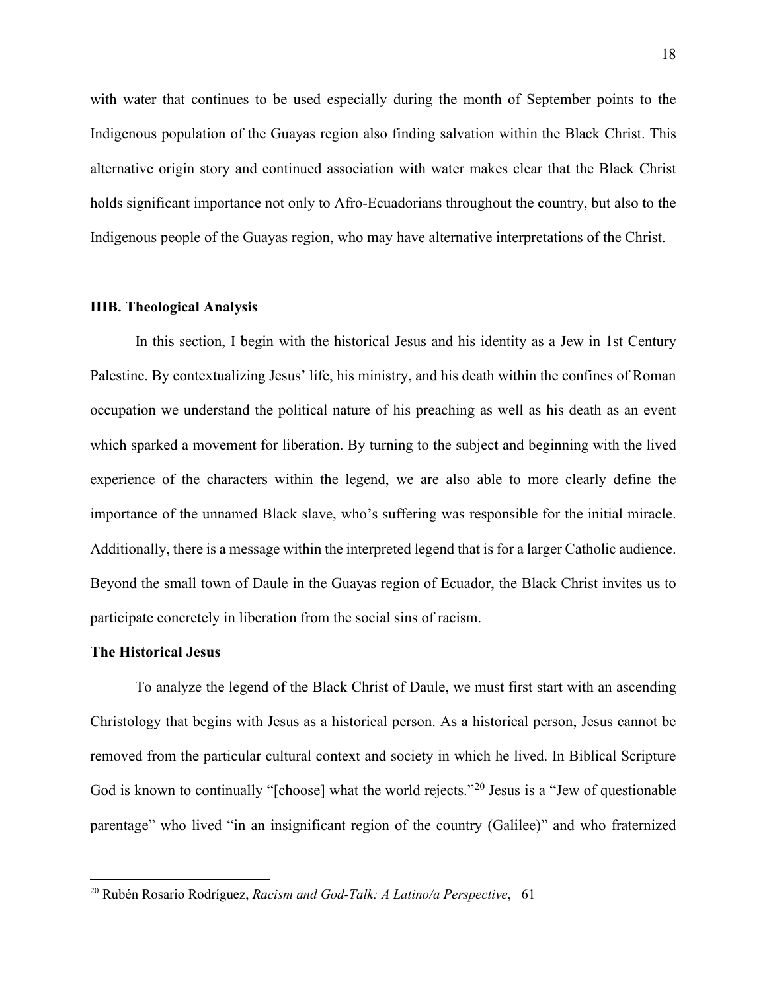with water that continues to be used especially during the month of September points to the Indigenous population of the Guayas region also finding salvation within the Black Christ. This alternative origin story and continued association with water makes clear that the Black Christ holds significant importance not only to Afro-Ecuadorians throughout the country, but also to the Indigenous people of the Guayas region, who may have alternative interpretations of the Christ.

#### **IIIB. Theological Analysis**

In this section, I begin with the historical Jesus and his identity as a Jew in 1st Century Palestine. By contextualizing Jesus' life, his ministry, and his death within the confines of Roman occupation we understand the political nature of his preaching as well as his death as an event which sparked a movement for liberation. By turning to the subject and beginning with the lived experience of the characters within the legend, we are also able to more clearly define the importance of the unnamed Black slave, who's suffering was responsible for the initial miracle. Additionally, there is a message within the interpreted legend that is for a larger Catholic audience. Beyond the small town of Daule in the Guayas region of Ecuador, the Black Christ invites us to participate concretely in liberation from the social sins of racism.

# **The Historical Jesus**

To analyze the legend of the Black Christ of Daule, we must first start with an ascending Christology that begins with Jesus as a historical person. As a historical person, Jesus cannot be removed from the particular cultural context and society in which he lived. In Biblical Scripture God is known to continually "[choose] what the world rejects."[20](#page-22-0) Jesus is a "Jew of questionable parentage" who lived "in an insignificant region of the country (Galilee)" and who fraternized

<span id="page-22-0"></span><sup>20</sup> Rubén Rosario Rodríguez, *Racism and God-Talk: A Latino/a Perspective*, 61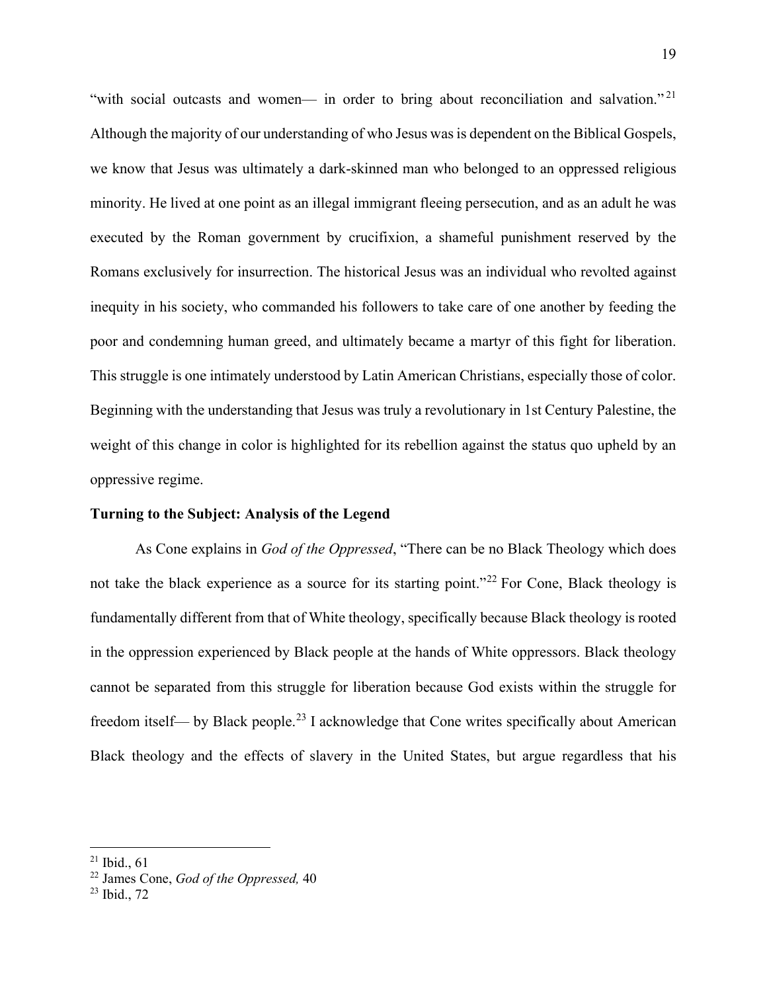"with social outcasts and women— in order to bring about reconciliation and salvation."<sup>[21](#page-23-0)</sup> Although the majority of our understanding of who Jesus was is dependent on the Biblical Gospels, we know that Jesus was ultimately a dark-skinned man who belonged to an oppressed religious minority. He lived at one point as an illegal immigrant fleeing persecution, and as an adult he was executed by the Roman government by crucifixion, a shameful punishment reserved by the Romans exclusively for insurrection. The historical Jesus was an individual who revolted against inequity in his society, who commanded his followers to take care of one another by feeding the poor and condemning human greed, and ultimately became a martyr of this fight for liberation. This struggle is one intimately understood by Latin American Christians, especially those of color. Beginning with the understanding that Jesus was truly a revolutionary in 1st Century Palestine, the weight of this change in color is highlighted for its rebellion against the status quo upheld by an oppressive regime.

# **Turning to the Subject: Analysis of the Legend**

As Cone explains in *God of the Oppressed*, "There can be no Black Theology which does not take the black experience as a source for its starting point."<sup>[22](#page-23-1)</sup> For Cone, Black theology is fundamentally different from that of White theology, specifically because Black theology is rooted in the oppression experienced by Black people at the hands of White oppressors. Black theology cannot be separated from this struggle for liberation because God exists within the struggle for freedom itself— by Black people.<sup>23</sup> I acknowledge that Cone writes specifically about American Black theology and the effects of slavery in the United States, but argue regardless that his

<span id="page-23-0"></span><sup>21</sup> Ibid., 61

<span id="page-23-1"></span><sup>22</sup> James Cone, *God of the Oppressed,* 40

<span id="page-23-2"></span><sup>23</sup> Ibid., 72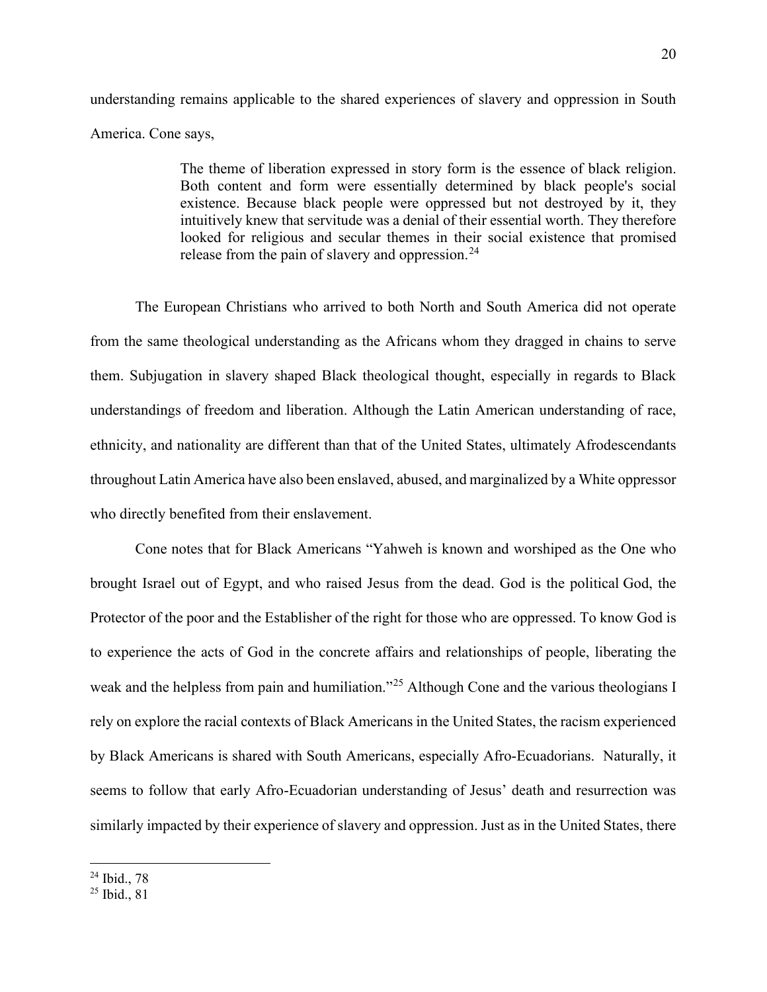understanding remains applicable to the shared experiences of slavery and oppression in South America. Cone says,

> The theme of liberation expressed in story form is the essence of black religion. Both content and form were essentially determined by black people's social existence. Because black people were oppressed but not destroyed by it, they intuitively knew that servitude was a denial of their essential worth. They therefore looked for religious and secular themes in their social existence that promised release from the pain of slavery and oppression. $^{24}$

The European Christians who arrived to both North and South America did not operate from the same theological understanding as the Africans whom they dragged in chains to serve them. Subjugation in slavery shaped Black theological thought, especially in regards to Black understandings of freedom and liberation. Although the Latin American understanding of race, ethnicity, and nationality are different than that of the United States, ultimately Afrodescendants throughout Latin America have also been enslaved, abused, and marginalized by a White oppressor who directly benefited from their enslavement.

 Cone notes that for Black Americans "Yahweh is known and worshiped as the One who brought Israel out of Egypt, and who raised Jesus from the dead. God is the political God, the Protector of the poor and the Establisher of the right for those who are oppressed. To know God is to experience the acts of God in the concrete affairs and relationships of people, liberating the weak and the helpless from pain and humiliation."<sup>[25](#page-24-1)</sup> Although Cone and the various theologians I rely on explore the racial contexts of Black Americans in the United States, the racism experienced by Black Americans is shared with South Americans, especially Afro-Ecuadorians. Naturally, it seems to follow that early Afro-Ecuadorian understanding of Jesus' death and resurrection was similarly impacted by their experience of slavery and oppression. Just as in the United States, there

<span id="page-24-0"></span><sup>24</sup> Ibid., 78

<span id="page-24-1"></span> $25$  Ibid., 81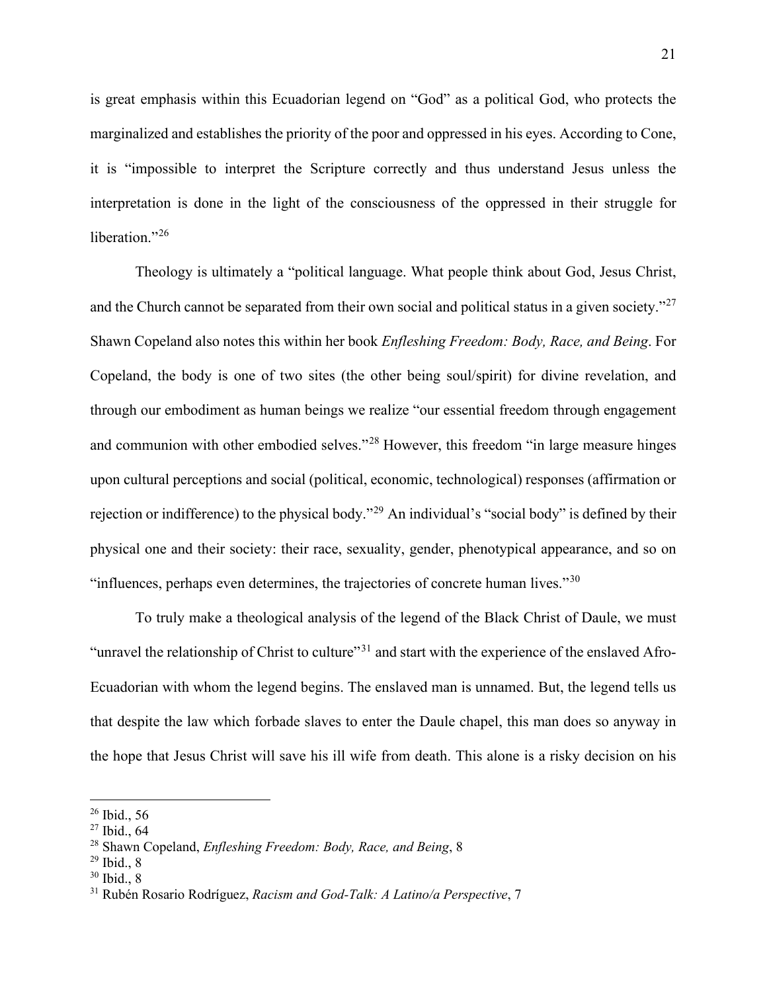is great emphasis within this Ecuadorian legend on "God" as a political God, who protects the marginalized and establishes the priority of the poor and oppressed in his eyes. According to Cone, it is "impossible to interpret the Scripture correctly and thus understand Jesus unless the interpretation is done in the light of the consciousness of the oppressed in their struggle for liberation."<sup>[26](#page-25-0)</sup>

 Theology is ultimately a "political language. What people think about God, Jesus Christ, and the Church cannot be separated from their own social and political status in a given society."<sup>[27](#page-25-1)</sup> Shawn Copeland also notes this within her book *Enfleshing Freedom: Body, Race, and Being*. For Copeland, the body is one of two sites (the other being soul/spirit) for divine revelation, and through our embodiment as human beings we realize "our essential freedom through engagement and communion with other embodied selves."<sup>[28](#page-25-2)</sup> However, this freedom "in large measure hinges upon cultural perceptions and social (political, economic, technological) responses (affirmation or rejection or indifference) to the physical body."[29](#page-25-3) An individual's "social body" is defined by their physical one and their society: their race, sexuality, gender, phenotypical appearance, and so on "influences, perhaps even determines, the trajectories of concrete human lives." $30$ 

To truly make a theological analysis of the legend of the Black Christ of Daule, we must "unravel the relationship of Christ to culture"<sup>[31](#page-25-5)</sup> and start with the experience of the enslaved Afro-Ecuadorian with whom the legend begins. The enslaved man is unnamed. But, the legend tells us that despite the law which forbade slaves to enter the Daule chapel, this man does so anyway in the hope that Jesus Christ will save his ill wife from death. This alone is a risky decision on his

<span id="page-25-0"></span> $26$  Ibid., 56

<span id="page-25-1"></span> $27$  Ibid., 64

<span id="page-25-2"></span><sup>28</sup> Shawn Copeland, *Enfleshing Freedom: Body, Race, and Being*, 8

<span id="page-25-3"></span><sup>29</sup> Ibid., 8

<span id="page-25-4"></span> $30$  Ibid., 8

<span id="page-25-5"></span><sup>31</sup> Rubén Rosario Rodríguez, *Racism and God-Talk: A Latino/a Perspective*, 7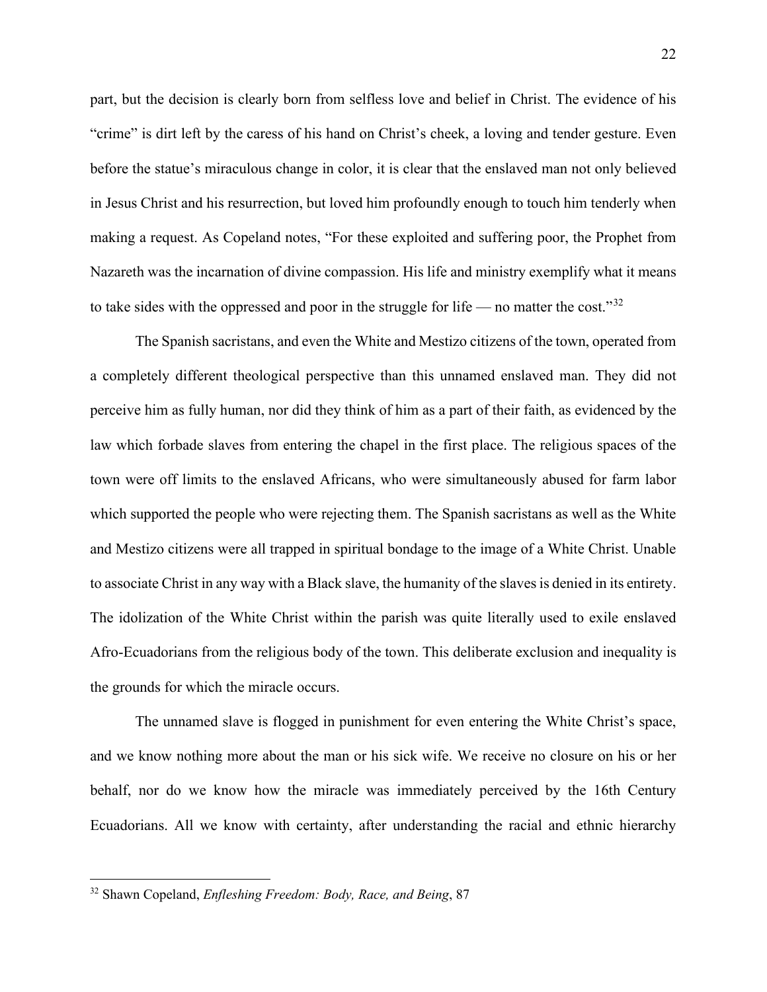part, but the decision is clearly born from selfless love and belief in Christ. The evidence of his "crime" is dirt left by the caress of his hand on Christ's cheek, a loving and tender gesture. Even before the statue's miraculous change in color, it is clear that the enslaved man not only believed in Jesus Christ and his resurrection, but loved him profoundly enough to touch him tenderly when making a request. As Copeland notes, "For these exploited and suffering poor, the Prophet from Nazareth was the incarnation of divine compassion. His life and ministry exemplify what it means to take sides with the oppressed and poor in the struggle for life — no matter the cost."<sup>[32](#page-26-0)</sup>

The Spanish sacristans, and even the White and Mestizo citizens of the town, operated from a completely different theological perspective than this unnamed enslaved man. They did not perceive him as fully human, nor did they think of him as a part of their faith, as evidenced by the law which forbade slaves from entering the chapel in the first place. The religious spaces of the town were off limits to the enslaved Africans, who were simultaneously abused for farm labor which supported the people who were rejecting them. The Spanish sacristans as well as the White and Mestizo citizens were all trapped in spiritual bondage to the image of a White Christ. Unable to associate Christ in any way with a Black slave, the humanity of the slavesis denied in its entirety. The idolization of the White Christ within the parish was quite literally used to exile enslaved Afro-Ecuadorians from the religious body of the town. This deliberate exclusion and inequality is the grounds for which the miracle occurs.

The unnamed slave is flogged in punishment for even entering the White Christ's space, and we know nothing more about the man or his sick wife. We receive no closure on his or her behalf, nor do we know how the miracle was immediately perceived by the 16th Century Ecuadorians. All we know with certainty, after understanding the racial and ethnic hierarchy

<span id="page-26-0"></span><sup>32</sup> Shawn Copeland, *Enfleshing Freedom: Body, Race, and Being*, 87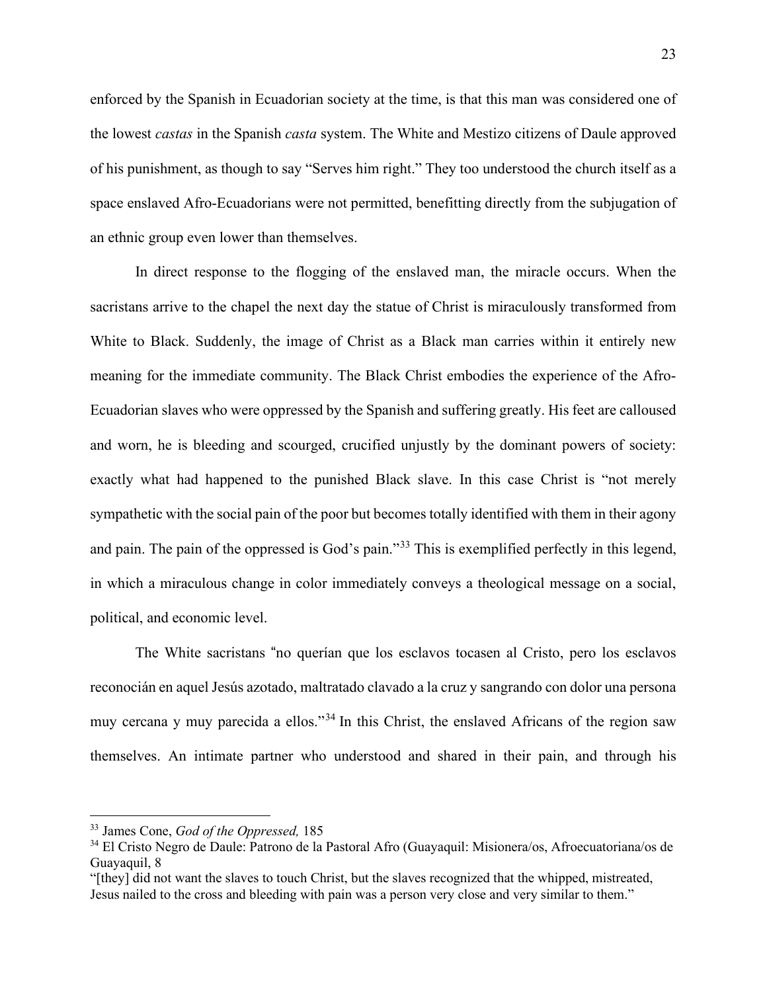enforced by the Spanish in Ecuadorian society at the time, is that this man was considered one of the lowest *castas* in the Spanish *casta* system. The White and Mestizo citizens of Daule approved of his punishment, as though to say "Serves him right." They too understood the church itself as a space enslaved Afro-Ecuadorians were not permitted, benefitting directly from the subjugation of an ethnic group even lower than themselves.

In direct response to the flogging of the enslaved man, the miracle occurs. When the sacristans arrive to the chapel the next day the statue of Christ is miraculously transformed from White to Black. Suddenly, the image of Christ as a Black man carries within it entirely new meaning for the immediate community. The Black Christ embodies the experience of the Afro-Ecuadorian slaves who were oppressed by the Spanish and suffering greatly. His feet are calloused and worn, he is bleeding and scourged, crucified unjustly by the dominant powers of society: exactly what had happened to the punished Black slave. In this case Christ is "not merely sympathetic with the social pain of the poor but becomes totally identified with them in their agony and pain. The pain of the oppressed is God's pain."<sup>[33](#page-27-0)</sup> This is exemplified perfectly in this legend, in which a miraculous change in color immediately conveys a theological message on a social, political, and economic level.

The White sacristans "no querían que los esclavos tocasen al Cristo, pero los esclavos reconocián en aquel Jesús azotado, maltratado clavado a la cruz y sangrando con dolor una persona muy cercana y muy parecida a ellos."<sup>34</sup> In this Christ, the enslaved Africans of the region saw themselves. An intimate partner who understood and shared in their pain, and through his

<span id="page-27-0"></span><sup>33</sup> James Cone, *God of the Oppressed,* 185

<sup>34</sup> El Cristo Negro de Daule: Patrono de la Pastoral Afro (Guayaquil: Misionera/os, Afroecuatoriana/os de Guayaquil, 8

<sup>&</sup>quot;[they] did not want the slaves to touch Christ, but the slaves recognized that the whipped, mistreated, Jesus nailed to the cross and bleeding with pain was a person very close and very similar to them."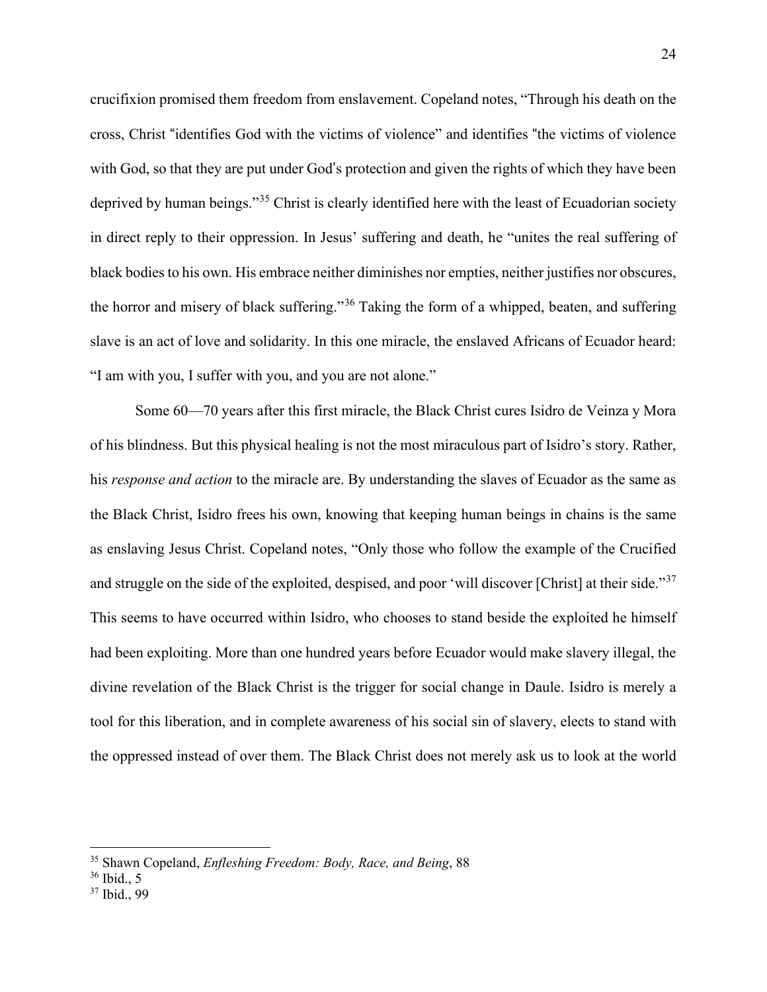crucifixion promised them freedom from enslavement. Copeland notes, "Through his death on the cross, Christ "identifies God with the victims of violence" and identifies "the victims of violence with God, so that they are put under God's protection and given the rights of which they have been deprived by human beings."<sup>35</sup> Christ is clearly identified here with the least of Ecuadorian society in direct reply to their oppression. In Jesus' suffering and death, he "unites the real suffering of black bodies to his own. His embrace neither diminishes nor empties, neither justifies nor obscures, the horror and misery of black suffering."*35 F* 36 Taking the form of a whipped, beaten, and suffering slave is an act of love and solidarity. In this one miracle, the enslaved Africans of Ecuador heard: "I am with you, I suffer with you, and you are not alone."

 Some 60—70 years after this first miracle, the Black Christ cures Isidro de Veinza y Mora of his blindness. But this physical healing is not the most miraculous part of Isidro's story. Rather, his *response and action* to the miracle are. By understanding the slaves of Ecuador as the same as the Black Christ, Isidro frees his own, knowing that keeping human beings in chains is the same as enslaving Jesus Christ. Copeland notes, "Only those who follow the example of the Crucified and struggle on the side of the exploited, despised, and poor 'will discover [Christ] at their side."<sup>[37](#page-28-0)</sup> This seems to have occurred within Isidro, who chooses to stand beside the exploited he himself had been exploiting. More than one hundred years before Ecuador would make slavery illegal, the divine revelation of the Black Christ is the trigger for social change in Daule. Isidro is merely a tool for this liberation, and in complete awareness of his social sin of slavery, elects to stand with the oppressed instead of over them. The Black Christ does not merely ask us to look at the world

<sup>35</sup> Shawn Copeland, *Enfleshing Freedom: Body, Race, and Being*, 88

<sup>36</sup> Ibid., 5

<span id="page-28-0"></span><sup>37</sup> Ibid., 99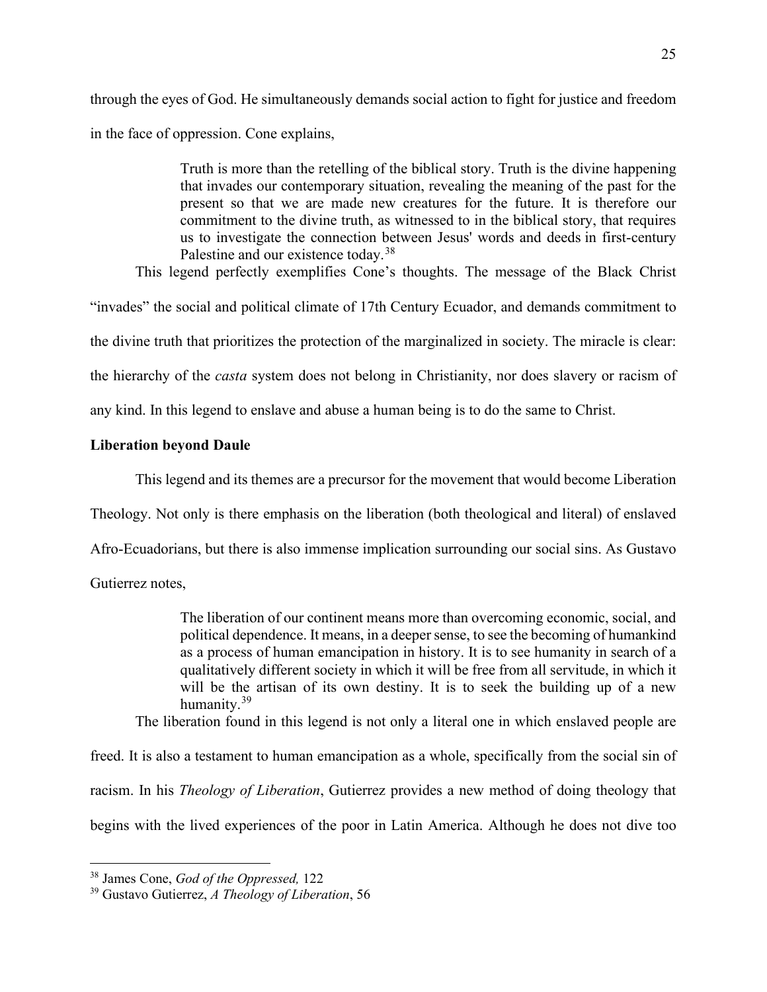through the eyes of God. He simultaneously demands social action to fight for justice and freedom in the face of oppression. Cone explains,

> Truth is more than the retelling of the biblical story. Truth is the divine happening that invades our contemporary situation, revealing the meaning of the past for the present so that we are made new creatures for the future. It is therefore our commitment to the divine truth, as witnessed to in the biblical story, that requires us to investigate the connection between Jesus' words and deeds in first-century Palestine and our existence today.<sup>[38](#page-29-0)</sup>

This legend perfectly exemplifies Cone's thoughts. The message of the Black Christ

"invades" the social and political climate of 17th Century Ecuador, and demands commitment to

the divine truth that prioritizes the protection of the marginalized in society. The miracle is clear:

the hierarchy of the *casta* system does not belong in Christianity, nor does slavery or racism of

any kind. In this legend to enslave and abuse a human being is to do the same to Christ.

# **Liberation beyond Daule**

This legend and its themes are a precursor for the movement that would become Liberation

Theology. Not only is there emphasis on the liberation (both theological and literal) of enslaved

Afro-Ecuadorians, but there is also immense implication surrounding our social sins. As Gustavo

Gutierrez notes,

The liberation of our continent means more than overcoming economic, social, and political dependence. It means, in a deepersense, to see the becoming of humankind as a process of human emancipation in history. It is to see humanity in search of a qualitatively different society in which it will be free from all servitude, in which it will be the artisan of its own destiny. It is to seek the building up of a new humanity.[39](#page-29-1)

The liberation found in this legend is not only a literal one in which enslaved people are

freed. It is also a testament to human emancipation as a whole, specifically from the social sin of racism. In his *Theology of Liberation*, Gutierrez provides a new method of doing theology that begins with the lived experiences of the poor in Latin America. Although he does not dive too

<span id="page-29-0"></span><sup>38</sup> James Cone, *God of the Oppressed,* 122

<span id="page-29-1"></span><sup>39</sup> Gustavo Gutierrez, *A Theology of Liberation*, 56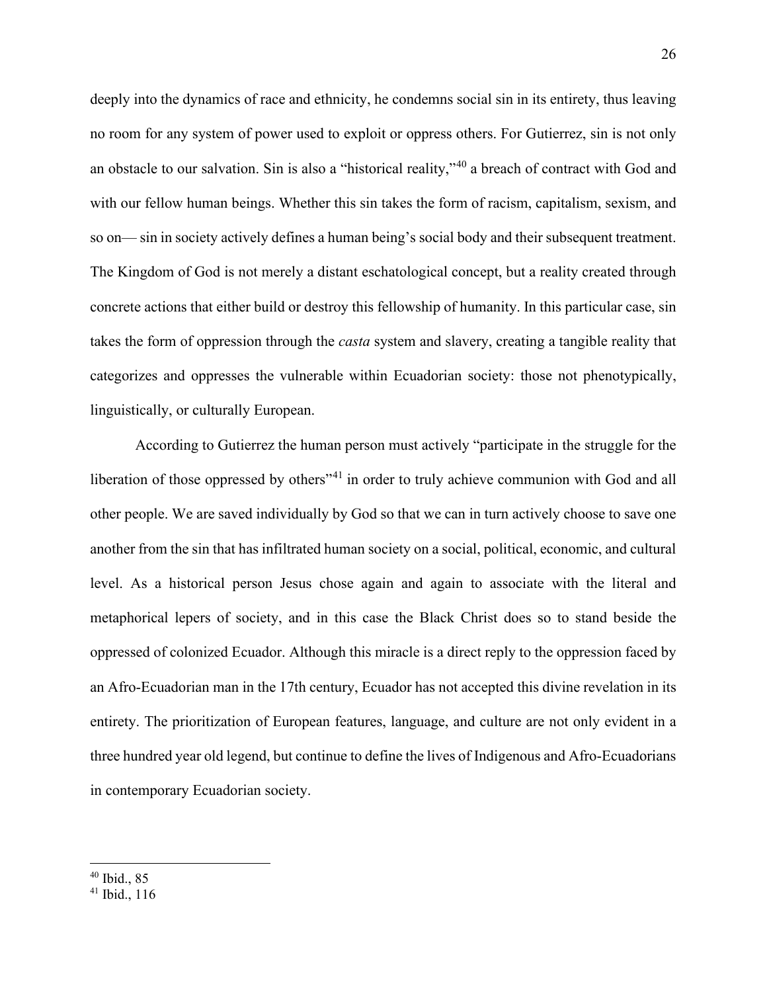deeply into the dynamics of race and ethnicity, he condemns social sin in its entirety, thus leaving no room for any system of power used to exploit or oppress others. For Gutierrez, sin is not only an obstacle to our salvation. Sin is also a "historical reality,"[40](#page-30-0) a breach of contract with God and with our fellow human beings. Whether this sin takes the form of racism, capitalism, sexism, and so on— sin in society actively defines a human being's social body and their subsequent treatment. The Kingdom of God is not merely a distant eschatological concept, but a reality created through concrete actions that either build or destroy this fellowship of humanity. In this particular case, sin takes the form of oppression through the *casta* system and slavery, creating a tangible reality that categorizes and oppresses the vulnerable within Ecuadorian society: those not phenotypically, linguistically, or culturally European.

 According to Gutierrez the human person must actively "participate in the struggle for the liberation of those oppressed by others<sup>"[41](#page-30-1)</sup> in order to truly achieve communion with God and all other people. We are saved individually by God so that we can in turn actively choose to save one another from the sin that has infiltrated human society on a social, political, economic, and cultural level. As a historical person Jesus chose again and again to associate with the literal and metaphorical lepers of society, and in this case the Black Christ does so to stand beside the oppressed of colonized Ecuador. Although this miracle is a direct reply to the oppression faced by an Afro-Ecuadorian man in the 17th century, Ecuador has not accepted this divine revelation in its entirety. The prioritization of European features, language, and culture are not only evident in a three hundred year old legend, but continue to define the lives of Indigenous and Afro-Ecuadorians in contemporary Ecuadorian society.

<span id="page-30-0"></span><sup>40</sup> Ibid., 85

<span id="page-30-1"></span><sup>41</sup> Ibid., 116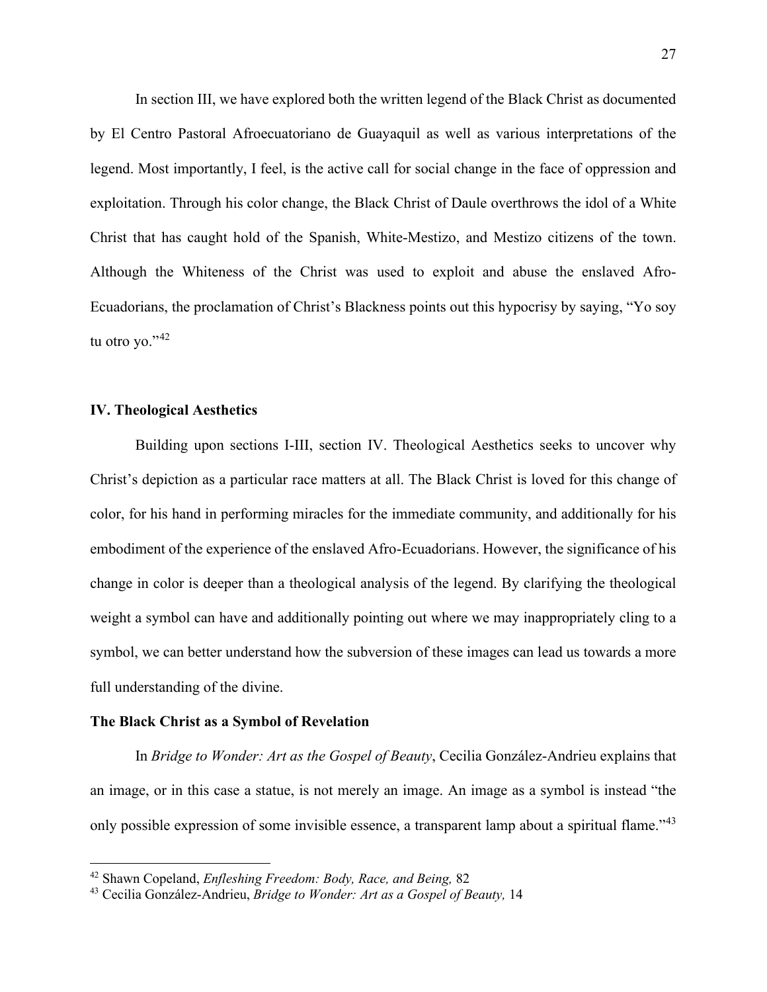In section III, we have explored both the written legend of the Black Christ as documented by El Centro Pastoral Afroecuatoriano de Guayaquil as well as various interpretations of the legend. Most importantly, I feel, is the active call for social change in the face of oppression and exploitation. Through his color change, the Black Christ of Daule overthrows the idol of a White Christ that has caught hold of the Spanish, White-Mestizo, and Mestizo citizens of the town. Although the Whiteness of the Christ was used to exploit and abuse the enslaved Afro-Ecuadorians, the proclamation of Christ's Blackness points out this hypocrisy by saying, "Yo soy tu otro yo." $42$ 

# **IV. Theological Aesthetics**

 Building upon sections I-III, section IV. Theological Aesthetics seeks to uncover why Christ's depiction as a particular race matters at all. The Black Christ is loved for this change of color, for his hand in performing miracles for the immediate community, and additionally for his embodiment of the experience of the enslaved Afro-Ecuadorians. However, the significance of his change in color is deeper than a theological analysis of the legend. By clarifying the theological weight a symbol can have and additionally pointing out where we may inappropriately cling to a symbol, we can better understand how the subversion of these images can lead us towards a more full understanding of the divine.

#### **The Black Christ as a Symbol of Revelation**

In *Bridge to Wonder: Art as the Gospel of Beauty*, Cecilia González-Andrieu explains that an image, or in this case a statue, is not merely an image. An image as a symbol is instead "the only possible expression of some invisible essence, a transparent lamp about a spiritual flame."<sup>[43](#page-31-1)</sup>

<span id="page-31-0"></span><sup>42</sup> Shawn Copeland, *Enfleshing Freedom: Body, Race, and Being,* 82

<span id="page-31-1"></span><sup>43</sup> Cecilia González-Andrieu, *Bridge to Wonder: Art as a Gospel of Beauty,* 14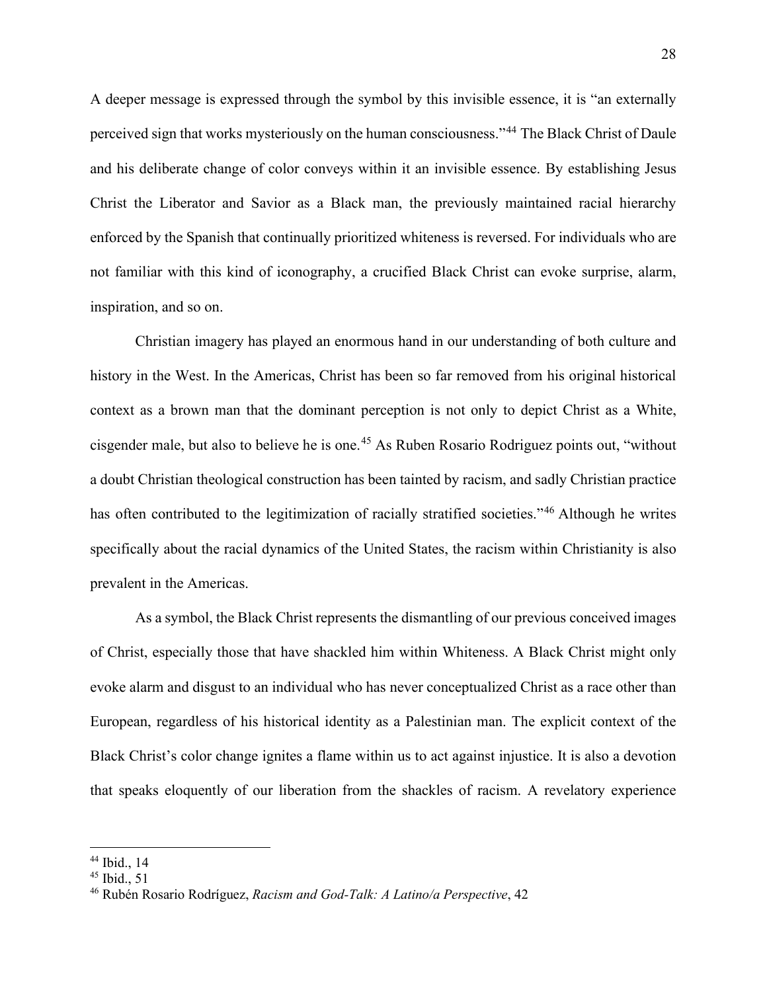A deeper message is expressed through the symbol by this invisible essence, it is "an externally perceived sign that works mysteriously on the human consciousness."[44](#page-32-0) The Black Christ of Daule and his deliberate change of color conveys within it an invisible essence. By establishing Jesus Christ the Liberator and Savior as a Black man, the previously maintained racial hierarchy enforced by the Spanish that continually prioritized whiteness is reversed. For individuals who are not familiar with this kind of iconography, a crucified Black Christ can evoke surprise, alarm, inspiration, and so on.

Christian imagery has played an enormous hand in our understanding of both culture and history in the West. In the Americas, Christ has been so far removed from his original historical context as a brown man that the dominant perception is not only to depict Christ as a White, cisgender male, but also to believe he is one.<sup>[45](#page-32-1)</sup> As Ruben Rosario Rodriguez points out, "without a doubt Christian theological construction has been tainted by racism, and sadly Christian practice has often contributed to the legitimization of racially stratified societies."<sup>46</sup> Although he writes specifically about the racial dynamics of the United States, the racism within Christianity is also prevalent in the Americas.

As a symbol, the Black Christ represents the dismantling of our previous conceived images of Christ, especially those that have shackled him within Whiteness. A Black Christ might only evoke alarm and disgust to an individual who has never conceptualized Christ as a race other than European, regardless of his historical identity as a Palestinian man. The explicit context of the Black Christ's color change ignites a flame within us to act against injustice. It is also a devotion that speaks eloquently of our liberation from the shackles of racism. A revelatory experience

<span id="page-32-0"></span><sup>44</sup> Ibid., 14

<span id="page-32-1"></span> $45$  Ibid., 51

<span id="page-32-2"></span><sup>46</sup> Rubén Rosario Rodríguez, *Racism and God-Talk: A Latino/a Perspective*, 42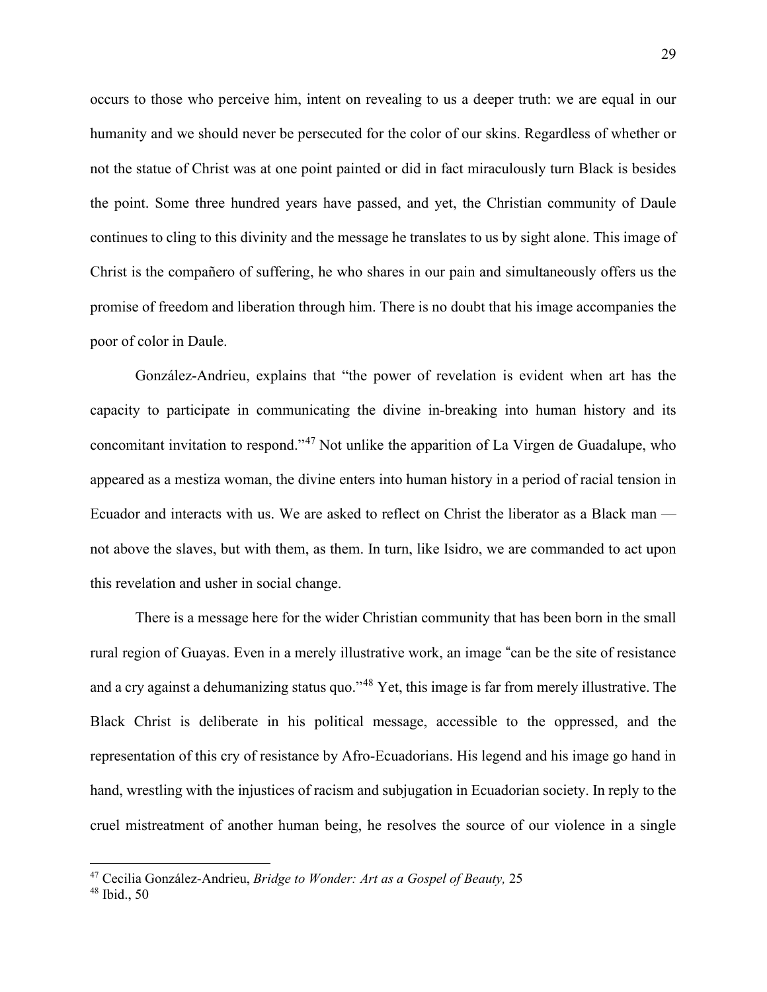occurs to those who perceive him, intent on revealing to us a deeper truth: we are equal in our humanity and we should never be persecuted for the color of our skins. Regardless of whether or not the statue of Christ was at one point painted or did in fact miraculously turn Black is besides the point. Some three hundred years have passed, and yet, the Christian community of Daule continues to cling to this divinity and the message he translates to us by sight alone. This image of Christ is the compañero of suffering, he who shares in our pain and simultaneously offers us the promise of freedom and liberation through him. There is no doubt that his image accompanies the poor of color in Daule.

González-Andrieu, explains that "the power of revelation is evident when art has the capacity to participate in communicating the divine in-breaking into human history and its concomitant invitation to respond."[47](#page-33-0) Not unlike the apparition of La Virgen de Guadalupe, who appeared as a mestiza woman, the divine enters into human history in a period of racial tension in Ecuador and interacts with us. We are asked to reflect on Christ the liberator as a Black man not above the slaves, but with them, as them. In turn, like Isidro, we are commanded to act upon this revelation and usher in social change.

There is a message here for the wider Christian community that has been born in the small rural region of Guayas. Even in a merely illustrative work, an image "can be the site of resistance and a cry against a dehumanizing status quo."<sup>48</sup> Yet, this image is far from merely illustrative. The Black Christ is deliberate in his political message, accessible to the oppressed, and the representation of this cry of resistance by Afro-Ecuadorians. His legend and his image go hand in hand, wrestling with the injustices of racism and subjugation in Ecuadorian society. In reply to the cruel mistreatment of another human being, he resolves the source of our violence in a single

<span id="page-33-0"></span><sup>47</sup> Cecilia González-Andrieu, *Bridge to Wonder: Art as a Gospel of Beauty,* 25

 $48$  Ibid., 50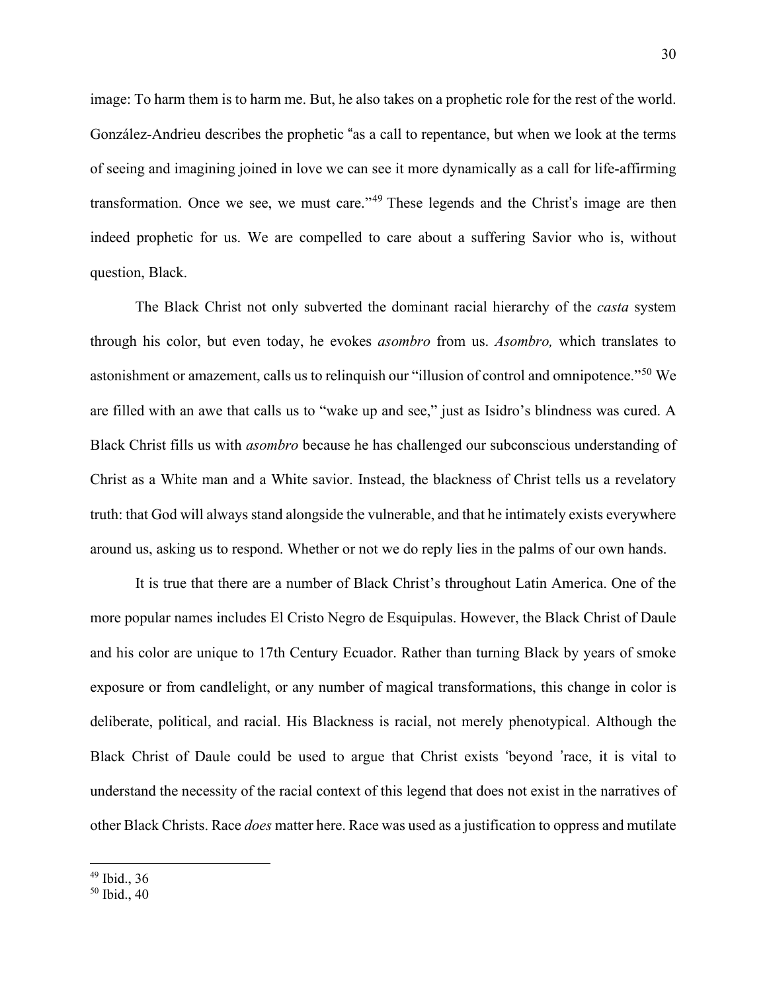image: To harm them is to harm me. But, he also takes on a prophetic role for the rest of the world. González-Andrieu describes the prophetic "as a call to repentance, but when we look at the terms of seeing and imagining joined in love we can see it more dynamically as a call for life-affirming transformation. Once we see, we must care."<sup>49</sup> These legends and the Christ's image are then indeed prophetic for us. We are compelled to care about a suffering Savior who is, without question, Black.

The Black Christ not only subverted the dominant racial hierarchy of the *casta* system through his color, but even today, he evokes *asombro* from us. *Asombro,* which translates to astonishment or amazement, calls us to relinquish our "illusion of control and omnipotence."[50](#page-34-0) We are filled with an awe that calls us to "wake up and see," just as Isidro's blindness was cured. A Black Christ fills us with *asombro* because he has challenged our subconscious understanding of Christ as a White man and a White savior. Instead, the blackness of Christ tells us a revelatory truth: that God will always stand alongside the vulnerable, and that he intimately exists everywhere around us, asking us to respond. Whether or not we do reply lies in the palms of our own hands.

It is true that there are a number of Black Christ's throughout Latin America. One of the more popular names includes El Cristo Negro de Esquipulas. However, the Black Christ of Daule and his color are unique to 17th Century Ecuador. Rather than turning Black by years of smoke exposure or from candlelight, or any number of magical transformations, this change in color is deliberate, political, and racial. His Blackness is racial, not merely phenotypical. Although the Black Christ of Daule could be used to argue that Christ exists 'beyond 'race, it is vital to understand the necessity of the racial context of this legend that does not exist in the narratives of other Black Christs. Race *does* matter here. Race was used as a justification to oppress and mutilate

<sup>49</sup> Ibid., 36

<span id="page-34-0"></span><sup>50</sup> Ibid., 40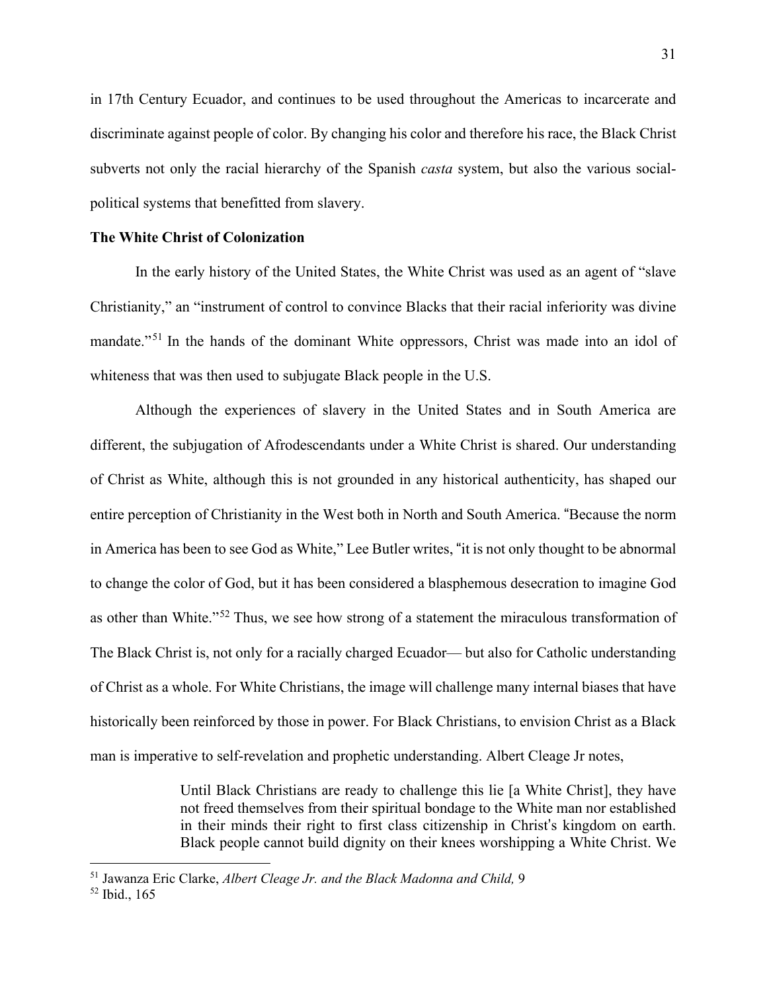in 17th Century Ecuador, and continues to be used throughout the Americas to incarcerate and discriminate against people of color. By changing his color and therefore his race, the Black Christ subverts not only the racial hierarchy of the Spanish *casta* system, but also the various socialpolitical systems that benefitted from slavery.

# **The White Christ of Colonization**

In the early history of the United States, the White Christ was used as an agent of "slave Christianity," an "instrument of control to convince Blacks that their racial inferiority was divine mandate."<sup>[51](#page-35-0)</sup> In the hands of the dominant White oppressors, Christ was made into an idol of whiteness that was then used to subjugate Black people in the U.S.

 Although the experiences of slavery in the United States and in South America are different, the subjugation of Afrodescendants under a White Christ is shared. Our understanding of Christ as White, although this is not grounded in any historical authenticity, has shaped our entire perception of Christianity in the West both in North and South America. "Because the norm in America has been to see God as White," Lee Butler writes, "it is not only thought to be abnormal to change the color of God, but it has been considered a blasphemous desecration to imagine God as other than White."<sup>52</sup> Thus, we see how strong of a statement the miraculous transformation of The Black Christ is, not only for a racially charged Ecuador— but also for Catholic understanding of Christ as a whole. For White Christians, the image will challenge many internal biases that have historically been reinforced by those in power. For Black Christians, to envision Christ as a Black man is imperative to self-revelation and prophetic understanding. Albert Cleage Jr notes,

> Until Black Christians are ready to challenge this lie [a White Christ], they have not freed themselves from their spiritual bondage to the White man nor established in their minds their right to first class citizenship in Christ's kingdom on earth. Black people cannot build dignity on their knees worshipping a White Christ. We

<span id="page-35-0"></span><sup>51</sup> Jawanza Eric Clarke, *Albert Cleage Jr. and the Black Madonna and Child,* 9

 $52$  Ibid., 165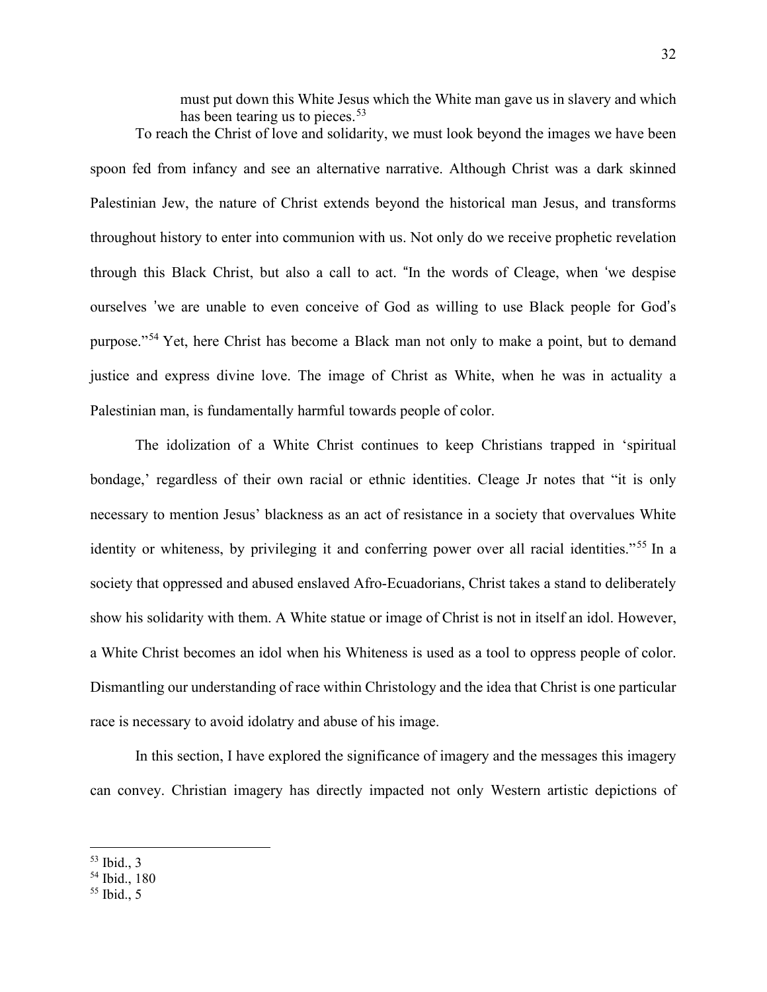must put down this White Jesus which the White man gave us in slavery and which has been tearing us to pieces.  $53$ To reach the Christ of love and solidarity, we must look beyond the images we have been

spoon fed from infancy and see an alternative narrative. Although Christ was a dark skinned Palestinian Jew, the nature of Christ extends beyond the historical man Jesus, and transforms throughout history to enter into communion with us. Not only do we receive prophetic revelation through this Black Christ, but also a call to act. "In the words of Cleage, when 'we despise ourselves 'we are unable to even conceive of God as willing to use Black people for God's purpose."<sup>54</sup> Yet, here Christ has become a Black man not only to make a point, but to demand justice and express divine love. The image of Christ as White, when he was in actuality a Palestinian man, is fundamentally harmful towards people of color.

The idolization of a White Christ continues to keep Christians trapped in 'spiritual bondage,' regardless of their own racial or ethnic identities. Cleage Jr notes that "it is only necessary to mention Jesus' blackness as an act of resistance in a society that overvalues White identity or whiteness, by privileging it and conferring power over all racial identities."<sup>[55](#page-36-1)</sup> In a society that oppressed and abused enslaved Afro-Ecuadorians, Christ takes a stand to deliberately show his solidarity with them. A White statue or image of Christ is not in itself an idol. However, a White Christ becomes an idol when his Whiteness is used as a tool to oppress people of color. Dismantling our understanding of race within Christology and the idea that Christ is one particular race is necessary to avoid idolatry and abuse of his image.

In this section, I have explored the significance of imagery and the messages this imagery can convey. Christian imagery has directly impacted not only Western artistic depictions of

<span id="page-36-0"></span><sup>53</sup> Ibid., 3

<sup>54</sup> Ibid., 180

<span id="page-36-1"></span> $55$  Ibid., 5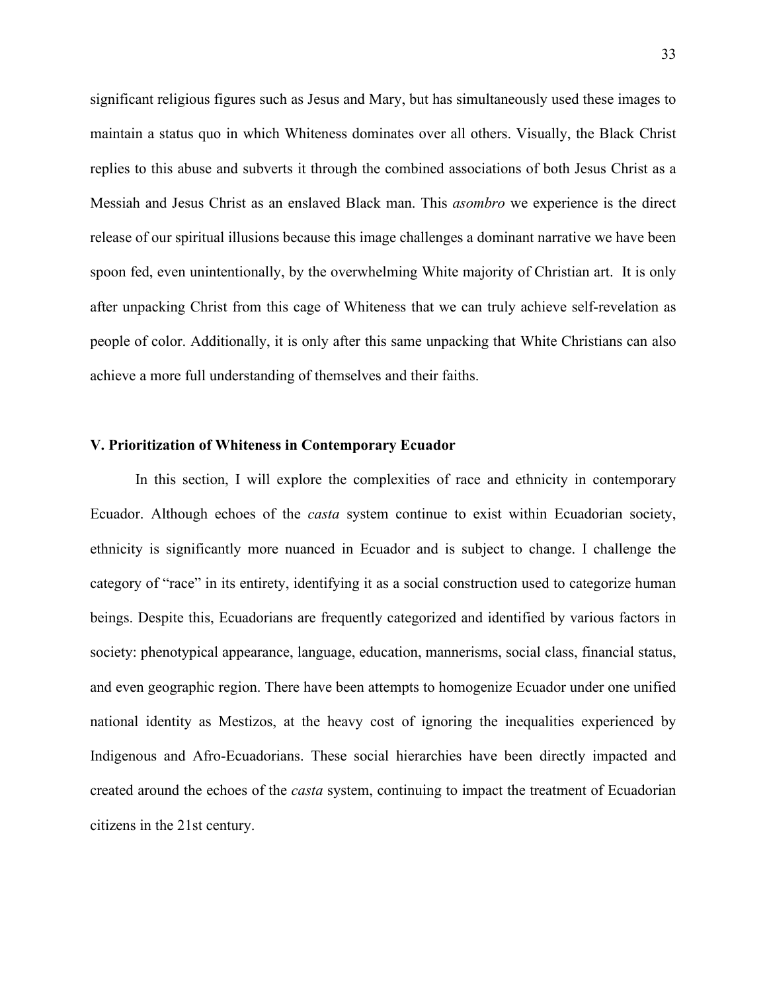significant religious figures such as Jesus and Mary, but has simultaneously used these images to maintain a status quo in which Whiteness dominates over all others. Visually, the Black Christ replies to this abuse and subverts it through the combined associations of both Jesus Christ as a Messiah and Jesus Christ as an enslaved Black man. This *asombro* we experience is the direct release of our spiritual illusions because this image challenges a dominant narrative we have been spoon fed, even unintentionally, by the overwhelming White majority of Christian art. It is only after unpacking Christ from this cage of Whiteness that we can truly achieve self-revelation as people of color. Additionally, it is only after this same unpacking that White Christians can also achieve a more full understanding of themselves and their faiths.

#### **V. Prioritization of Whiteness in Contemporary Ecuador**

In this section, I will explore the complexities of race and ethnicity in contemporary Ecuador. Although echoes of the *casta* system continue to exist within Ecuadorian society, ethnicity is significantly more nuanced in Ecuador and is subject to change. I challenge the category of "race" in its entirety, identifying it as a social construction used to categorize human beings. Despite this, Ecuadorians are frequently categorized and identified by various factors in society: phenotypical appearance, language, education, mannerisms, social class, financial status, and even geographic region. There have been attempts to homogenize Ecuador under one unified national identity as Mestizos, at the heavy cost of ignoring the inequalities experienced by Indigenous and Afro-Ecuadorians. These social hierarchies have been directly impacted and created around the echoes of the *casta* system, continuing to impact the treatment of Ecuadorian citizens in the 21st century.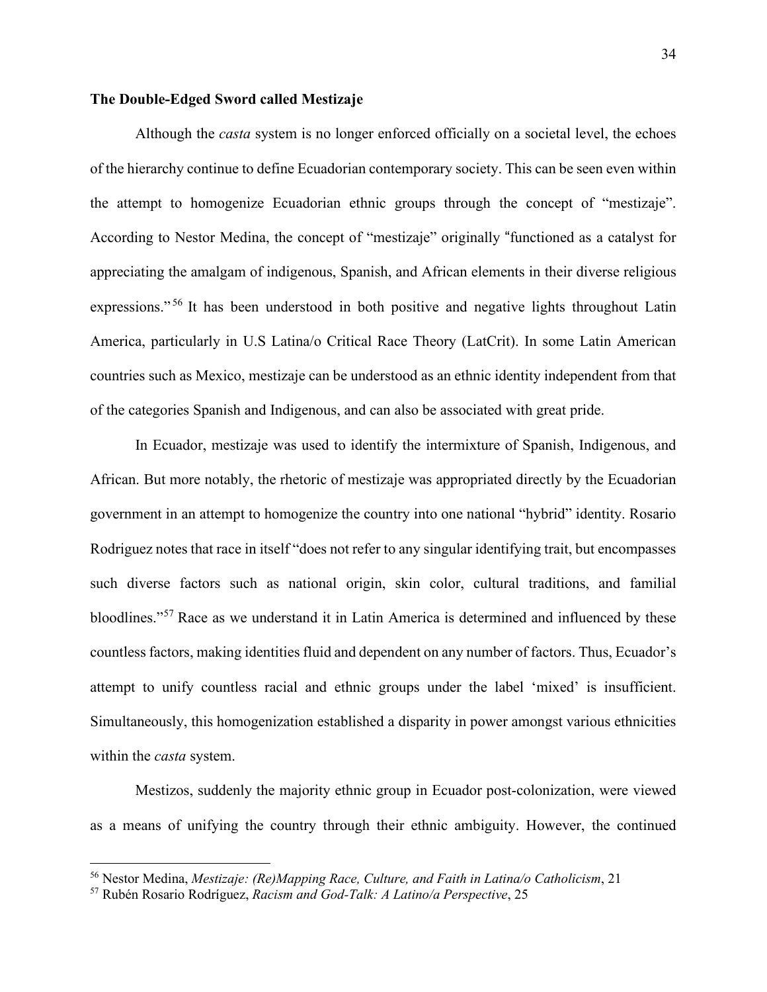# **The Double-Edged Sword called Mestizaje**

 Although the *casta* system is no longer enforced officially on a societal level, the echoes of the hierarchy continue to define Ecuadorian contemporary society. This can be seen even within the attempt to homogenize Ecuadorian ethnic groups through the concept of "mestizaje". According to Nestor Medina, the concept of "mestizaje" originally "functioned as a catalyst for appreciating the amalgam of indigenous, Spanish, and African elements in their diverse religious expressions."<sup>56</sup> It has been understood in both positive and negative lights throughout Latin America, particularly in U.S Latina/o Critical Race Theory (LatCrit). In some Latin American countries such as Mexico, mestizaje can be understood as an ethnic identity independent from that of the categories Spanish and Indigenous, and can also be associated with great pride.

In Ecuador, mestizaje was used to identify the intermixture of Spanish, Indigenous, and African. But more notably, the rhetoric of mestizaje was appropriated directly by the Ecuadorian government in an attempt to homogenize the country into one national "hybrid" identity. Rosario Rodriguez notes that race in itself "does not refer to any singular identifying trait, but encompasses such diverse factors such as national origin, skin color, cultural traditions, and familial bloodlines."[57](#page-38-0) Race as we understand it in Latin America is determined and influenced by these countless factors, making identities fluid and dependent on any number of factors. Thus, Ecuador's attempt to unify countless racial and ethnic groups under the label 'mixed' is insufficient. Simultaneously, this homogenization established a disparity in power amongst various ethnicities within the *casta* system.

Mestizos, suddenly the majority ethnic group in Ecuador post-colonization, were viewed as a means of unifying the country through their ethnic ambiguity. However, the continued

<sup>56</sup> Nestor Medina, *Mestizaje: (Re)Mapping Race, Culture, and Faith in Latina/o Catholicism*, 21

<span id="page-38-0"></span><sup>57</sup> Rubén Rosario Rodríguez, *Racism and God-Talk: A Latino/a Perspective*, 25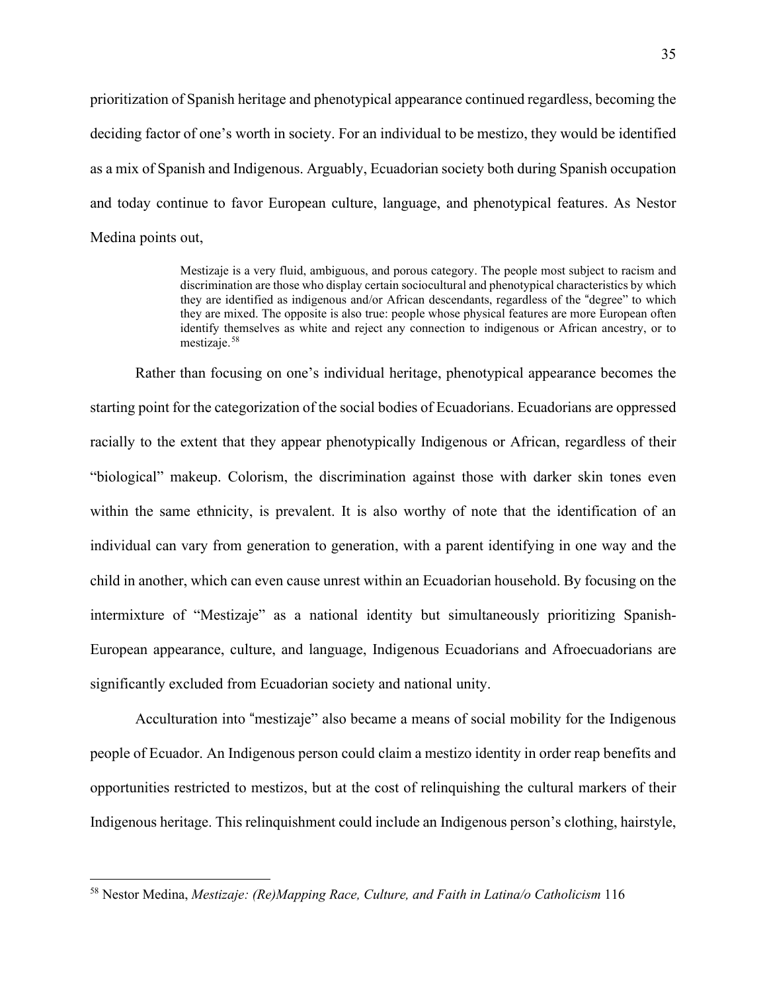prioritization of Spanish heritage and phenotypical appearance continued regardless, becoming the deciding factor of one's worth in society. For an individual to be mestizo, they would be identified as a mix of Spanish and Indigenous. Arguably, Ecuadorian society both during Spanish occupation and today continue to favor European culture, language, and phenotypical features. As Nestor Medina points out,

> Mestizaje is a very fluid, ambiguous, and porous category. The people most subject to racism and discrimination are those who display certain sociocultural and phenotypical characteristics by which they are identified as indigenous and/or African descendants, regardless of the "degree" to which they are mixed. The opposite is also true: people whose physical features are more European often identify themselves as white and reject any connection to indigenous or African ancestry, or to mestizaje.<sup>58</sup>

Rather than focusing on one's individual heritage, phenotypical appearance becomes the starting point for the categorization of the social bodies of Ecuadorians. Ecuadorians are oppressed racially to the extent that they appear phenotypically Indigenous or African, regardless of their "biological" makeup. Colorism, the discrimination against those with darker skin tones even within the same ethnicity, is prevalent. It is also worthy of note that the identification of an individual can vary from generation to generation, with a parent identifying in one way and the child in another, which can even cause unrest within an Ecuadorian household. By focusing on the intermixture of "Mestizaje" as a national identity but simultaneously prioritizing Spanish-European appearance, culture, and language, Indigenous Ecuadorians and Afroecuadorians are significantly excluded from Ecuadorian society and national unity.

 Acculturation into "mestizaje" also became a means of social mobility for the Indigenous people of Ecuador. An Indigenous person could claim a mestizo identity in order reap benefits and opportunities restricted to mestizos, but at the cost of relinquishing the cultural markers of their Indigenous heritage. This relinquishment could include an Indigenous person's clothing, hairstyle,

<sup>58</sup> Nestor Medina, *Mestizaje: (Re)Mapping Race, Culture, and Faith in Latina/o Catholicism* 116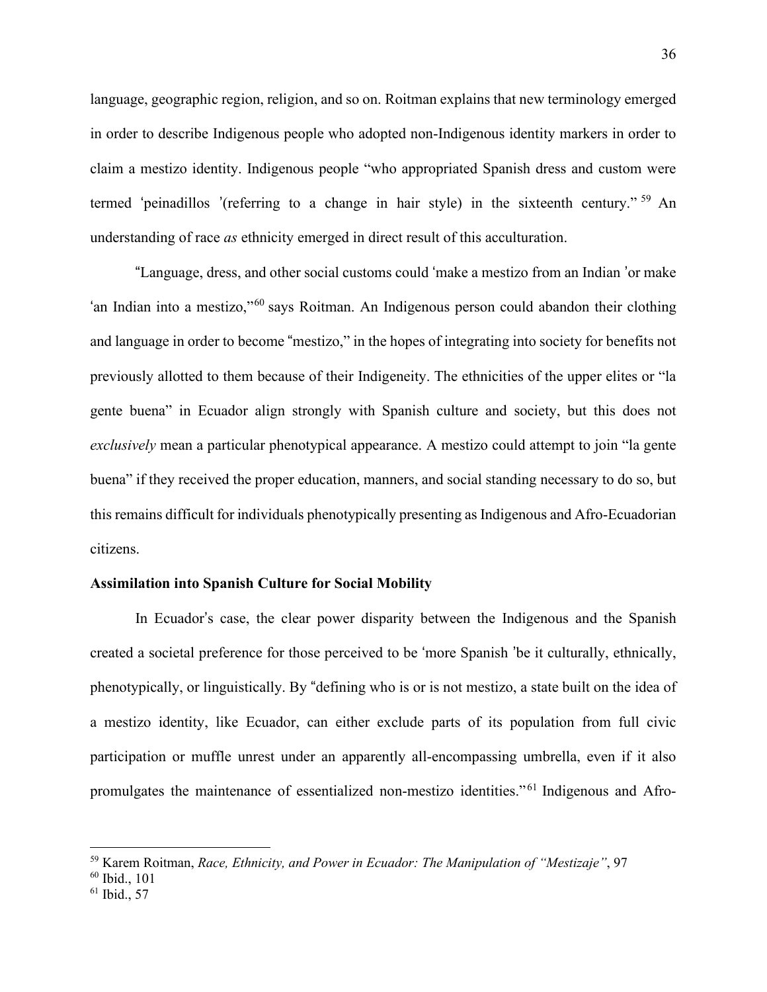language, geographic region, religion, and so on. Roitman explains that new terminology emerged in order to describe Indigenous people who adopted non-Indigenous identity markers in order to claim a mestizo identity. Indigenous people "who appropriated Spanish dress and custom were termed 'peinadillos '(referring to a change in hair style) in the sixteenth century." [59](#page-40-0) An understanding of race *as* ethnicity emerged in direct result of this acculturation.

"Language, dress, and other social customs could 'make a mestizo from an Indian 'or make 'an Indian into a mestizo,"[60](#page-40-1) says Roitman. An Indigenous person could abandon their clothing and language in order to become "mestizo," in the hopes of integrating into society for benefits not previously allotted to them because of their Indigeneity. The ethnicities of the upper elites or "la gente buena" in Ecuador align strongly with Spanish culture and society, but this does not *exclusively* mean a particular phenotypical appearance. A mestizo could attempt to join "la gente buena" if they received the proper education, manners, and social standing necessary to do so, but this remains difficult for individuals phenotypically presenting as Indigenous and Afro-Ecuadorian citizens.

# **Assimilation into Spanish Culture for Social Mobility**

In Ecuador's case, the clear power disparity between the Indigenous and the Spanish created a societal preference for those perceived to be 'more Spanish 'be it culturally, ethnically, phenotypically, or linguistically. By "defining who is or is not mestizo, a state built on the idea of a mestizo identity, like Ecuador, can either exclude parts of its population from full civic participation or muffle unrest under an apparently all-encompassing umbrella, even if it also promulgates the maintenance of essentialized non-mestizo identities."<sup>61</sup> Indigenous and Afro-

<span id="page-40-0"></span><sup>59</sup> Karem Roitman, *Race, Ethnicity, and Power in Ecuador: The Manipulation of "Mestizaje"*, 97

<span id="page-40-1"></span><sup>60</sup> Ibid., 101

 $61$  Ibid., 57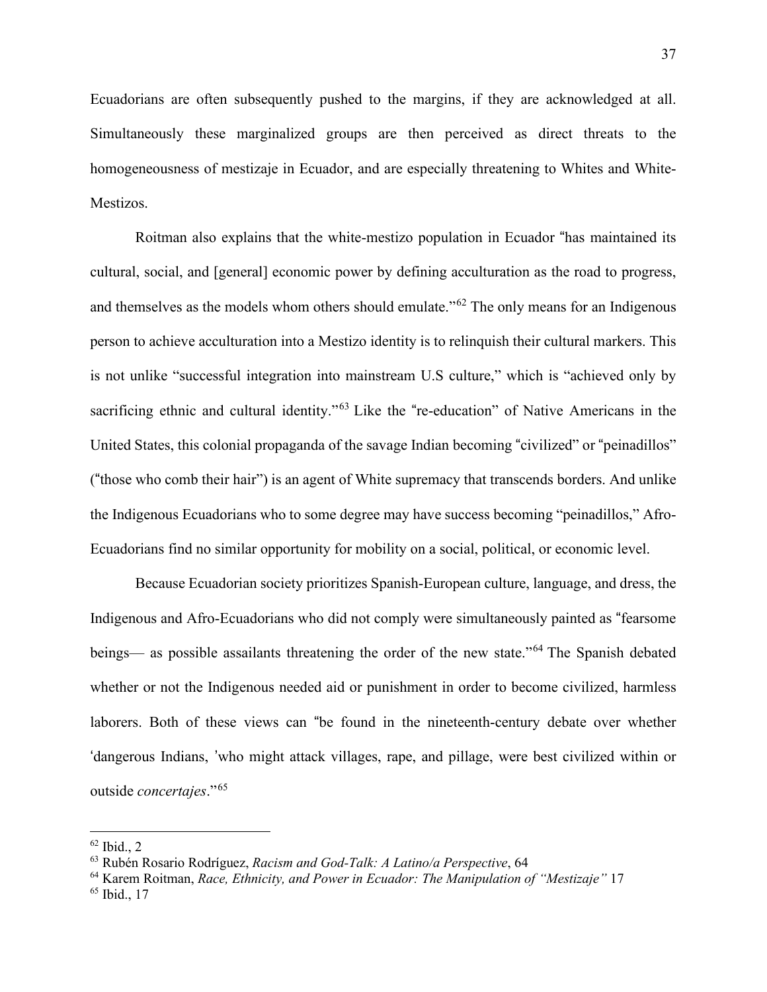Ecuadorians are often subsequently pushed to the margins, if they are acknowledged at all. Simultaneously these marginalized groups are then perceived as direct threats to the homogeneousness of mestizaje in Ecuador, and are especially threatening to Whites and White-Mestizos.

Roitman also explains that the white-mestizo population in Ecuador "has maintained its cultural, social, and [general] economic power by defining acculturation as the road to progress, and themselves as the models whom others should emulate."[62](#page-41-0) The only means for an Indigenous person to achieve acculturation into a Mestizo identity is to relinquish their cultural markers. This is not unlike "successful integration into mainstream U.S culture," which is "achieved only by sacrificing ethnic and cultural identity."<sup>[63](#page-41-1)</sup> Like the "re-education" of Native Americans in the United States, this colonial propaganda of the savage Indian becoming "civilized" or "peinadillos" ("those who comb their hair") is an agent of White supremacy that transcends borders. And unlike the Indigenous Ecuadorians who to some degree may have success becoming "peinadillos," Afro-Ecuadorians find no similar opportunity for mobility on a social, political, or economic level.

Because Ecuadorian society prioritizes Spanish-European culture, language, and dress, the Indigenous and Afro-Ecuadorians who did not comply were simultaneously painted as "fearsome beings— as possible assailants threatening the order of the new state."<sup>[64](#page-41-2)</sup> The Spanish debated whether or not the Indigenous needed aid or punishment in order to become civilized, harmless laborers. Both of these views can "be found in the nineteenth-century debate over whether 'dangerous Indians, 'who might attack villages, rape, and pillage, were best civilized within or outside *concertajes*."<sup>65</sup>

<span id="page-41-0"></span> $62$  Ibid., 2

<span id="page-41-1"></span><sup>63</sup> Rubén Rosario Rodríguez, *Racism and God-Talk: A Latino/a Perspective*, 64

<span id="page-41-2"></span><sup>64</sup> Karem Roitman, *Race, Ethnicity, and Power in Ecuador: The Manipulation of "Mestizaje"* 17

<sup>65</sup> Ibid., 17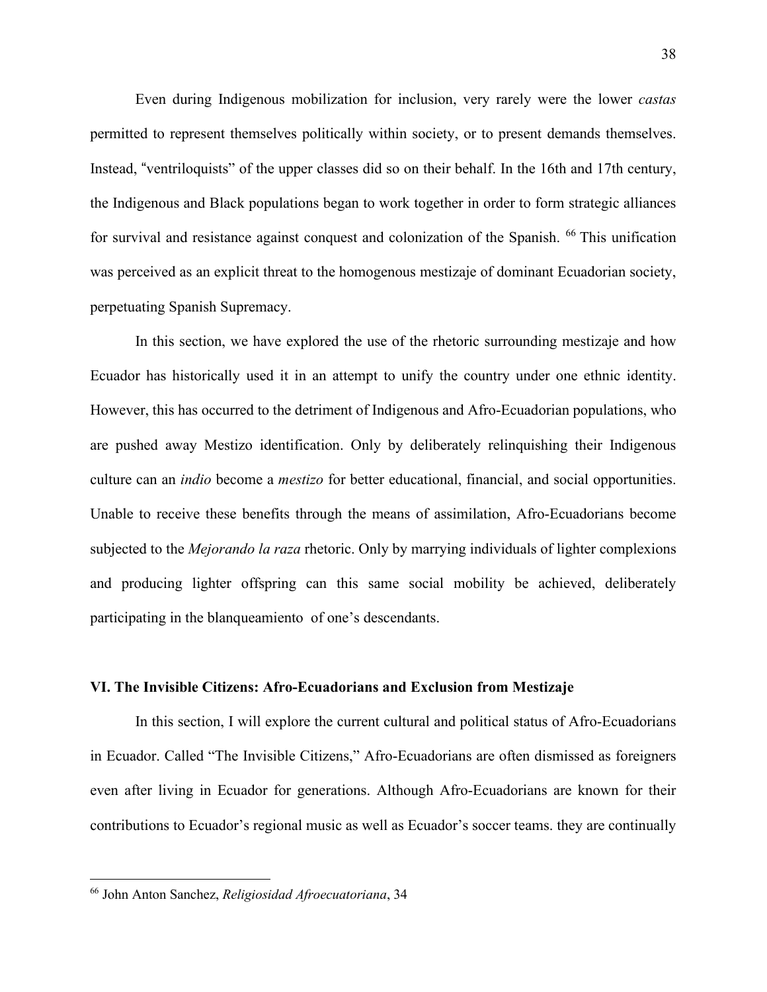Even during Indigenous mobilization for inclusion, very rarely were the lower *castas* permitted to represent themselves politically within society, or to present demands themselves. Instead, "ventriloquists" of the upper classes did so on their behalf. In the 16th and 17th century, the Indigenous and Black populations began to work together in order to form strategic alliances for survival and resistance against conquest and colonization of the Spanish. <sup>66</sup> This unification was perceived as an explicit threat to the homogenous mestizaje of dominant Ecuadorian society, perpetuating Spanish Supremacy.

In this section, we have explored the use of the rhetoric surrounding mestizaje and how Ecuador has historically used it in an attempt to unify the country under one ethnic identity. However, this has occurred to the detriment of Indigenous and Afro-Ecuadorian populations, who are pushed away Mestizo identification. Only by deliberately relinquishing their Indigenous culture can an *indio* become a *mestizo* for better educational, financial, and social opportunities. Unable to receive these benefits through the means of assimilation, Afro-Ecuadorians become subjected to the *Mejorando la raza* rhetoric. Only by marrying individuals of lighter complexions and producing lighter offspring can this same social mobility be achieved, deliberately participating in the blanqueamiento of one's descendants.

#### **VI. The Invisible Citizens: Afro-Ecuadorians and Exclusion from Mestizaje**

In this section, I will explore the current cultural and political status of Afro-Ecuadorians in Ecuador. Called "The Invisible Citizens," Afro-Ecuadorians are often dismissed as foreigners even after living in Ecuador for generations. Although Afro-Ecuadorians are known for their contributions to Ecuador's regional music as well as Ecuador's soccer teams. they are continually

<sup>66</sup> John Anton Sanchez, *Religiosidad Afroecuatoriana*, 34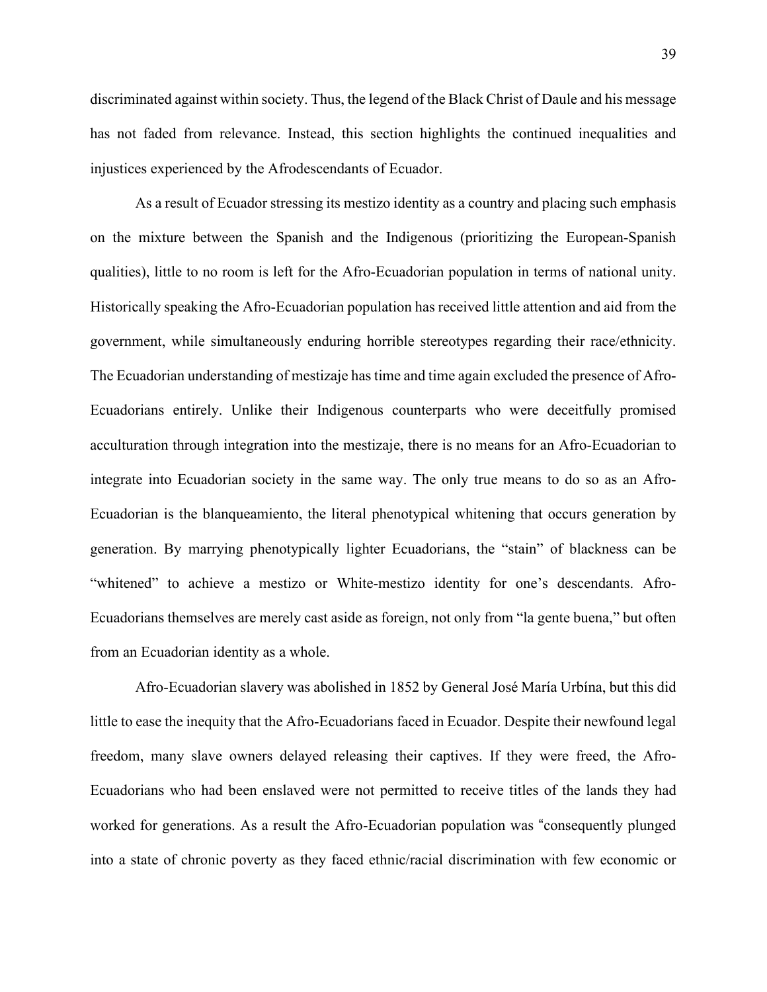discriminated against within society. Thus, the legend of the Black Christ of Daule and his message has not faded from relevance. Instead, this section highlights the continued inequalities and injustices experienced by the Afrodescendants of Ecuador.

As a result of Ecuador stressing its mestizo identity as a country and placing such emphasis on the mixture between the Spanish and the Indigenous (prioritizing the European-Spanish qualities), little to no room is left for the Afro-Ecuadorian population in terms of national unity. Historically speaking the Afro-Ecuadorian population has received little attention and aid from the government, while simultaneously enduring horrible stereotypes regarding their race/ethnicity. The Ecuadorian understanding of mestizaje has time and time again excluded the presence of Afro-Ecuadorians entirely. Unlike their Indigenous counterparts who were deceitfully promised acculturation through integration into the mestizaje, there is no means for an Afro-Ecuadorian to integrate into Ecuadorian society in the same way. The only true means to do so as an Afro-Ecuadorian is the blanqueamiento, the literal phenotypical whitening that occurs generation by generation. By marrying phenotypically lighter Ecuadorians, the "stain" of blackness can be "whitened" to achieve a mestizo or White-mestizo identity for one's descendants. Afro-Ecuadorians themselves are merely cast aside as foreign, not only from "la gente buena," but often from an Ecuadorian identity as a whole.

Afro-Ecuadorian slavery was abolished in 1852 by General José María Urbína, but this did little to ease the inequity that the Afro-Ecuadorians faced in Ecuador. Despite their newfound legal freedom, many slave owners delayed releasing their captives. If they were freed, the Afro-Ecuadorians who had been enslaved were not permitted to receive titles of the lands they had worked for generations. As a result the Afro-Ecuadorian population was "consequently plunged into a state of chronic poverty as they faced ethnic/racial discrimination with few economic or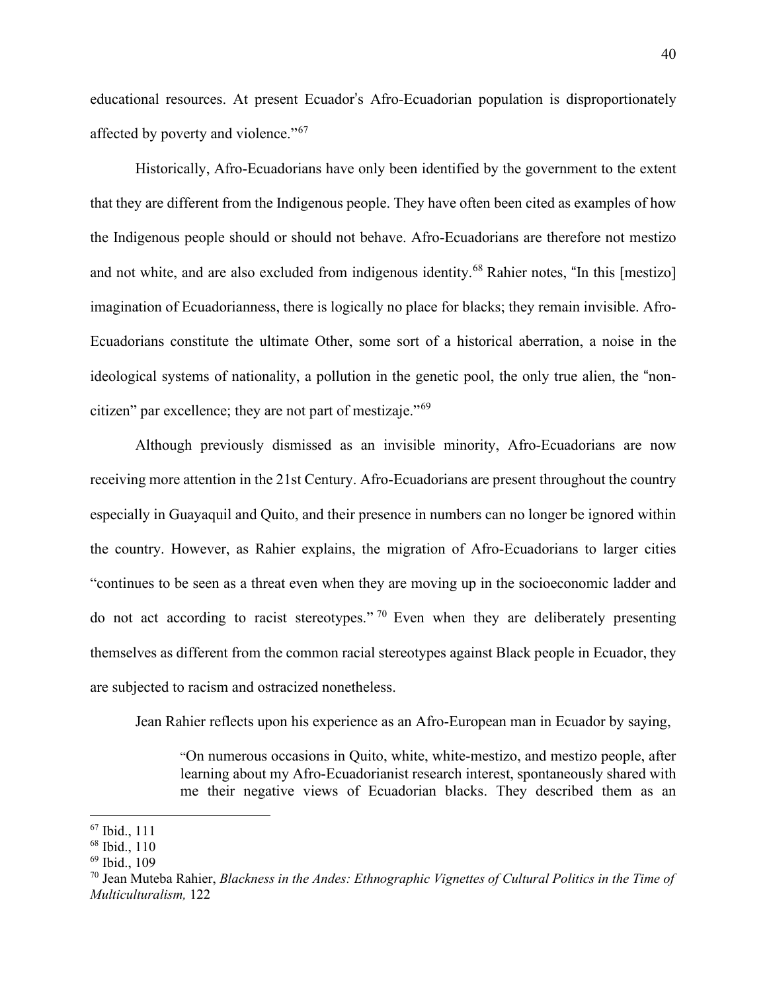educational resources. At present Ecuador's Afro-Ecuadorian population is disproportionately affected by poverty and violence."<sup>[67](#page-44-0)</sup>

Historically, Afro-Ecuadorians have only been identified by the government to the extent that they are different from the Indigenous people. They have often been cited as examples of how the Indigenous people should or should not behave. Afro-Ecuadorians are therefore not mestizo and not white, and are also excluded from indigenous identity.<sup>[68](#page-44-1)</sup> Rahier notes, "In this [mestizo] imagination of Ecuadorianness, there is logically no place for blacks; they remain invisible. Afro-Ecuadorians constitute the ultimate Other, some sort of a historical aberration, a noise in the ideological systems of nationality, a pollution in the genetic pool, the only true alien, the "noncitizen" par excellence; they are not part of mestizaje."<sup>69</sup>

 Although previously dismissed as an invisible minority, Afro-Ecuadorians are now receiving more attention in the 21st Century. Afro-Ecuadorians are present throughout the country especially in Guayaquil and Quito, and their presence in numbers can no longer be ignored within the country. However, as Rahier explains, the migration of Afro-Ecuadorians to larger cities "continues to be seen as a threat even when they are moving up in the socioeconomic ladder and do not act according to racist stereotypes." <sup>[70](#page-44-2)</sup> Even when they are deliberately presenting themselves as different from the common racial stereotypes against Black people in Ecuador, they are subjected to racism and ostracized nonetheless.

Jean Rahier reflects upon his experience as an Afro-European man in Ecuador by saying,

"On numerous occasions in Quito, white, white-mestizo, and mestizo people, after learning about my Afro-Ecuadorianist research interest, spontaneously shared with me their negative views of Ecuadorian blacks. They described them as an

<span id="page-44-0"></span><sup>67</sup> Ibid., 111

<span id="page-44-1"></span><sup>68</sup> Ibid., 110

<sup>69</sup> Ibid., 109

<span id="page-44-2"></span><sup>70</sup> Jean Muteba Rahier, *Blackness in the Andes: Ethnographic Vignettes of Cultural Politics in the Time of Multiculturalism,* 122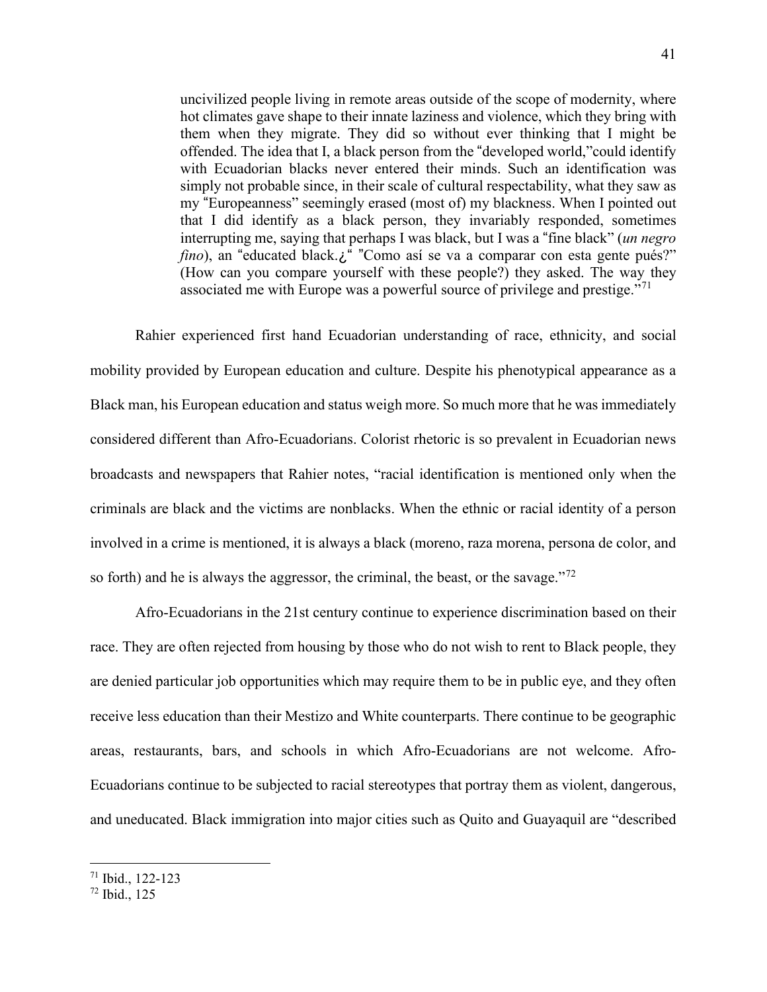uncivilized people living in remote areas outside of the scope of modernity, where hot climates gave shape to their innate laziness and violence, which they bring with them when they migrate. They did so without ever thinking that I might be offended. The idea that I, a black person from the "developed world,"could identify with Ecuadorian blacks never entered their minds. Such an identification was simply not probable since, in their scale of cultural respectability, what they saw as my "Europeanness" seemingly erased (most of) my blackness. When I pointed out that I did identify as a black person, they invariably responded, sometimes interrupting me, saying that perhaps I was black, but I was a "fine black" (*un negro fino*), an "educated black.¿" "Como así se va a comparar con esta gente pués?" (How can you compare yourself with these people?) they asked. The way they associated me with Europe was a powerful source of privilege and prestige."<sup>71</sup>

Rahier experienced first hand Ecuadorian understanding of race, ethnicity, and social mobility provided by European education and culture. Despite his phenotypical appearance as a Black man, his European education and status weigh more. So much more that he was immediately considered different than Afro-Ecuadorians. Colorist rhetoric is so prevalent in Ecuadorian news broadcasts and newspapers that Rahier notes, "racial identification is mentioned only when the criminals are black and the victims are nonblacks. When the ethnic or racial identity of a person involved in a crime is mentioned, it is always a black (moreno, raza morena, persona de color, and so forth) and he is always the aggressor, the criminal, the beast, or the savage."<sup>72</sup>

Afro-Ecuadorians in the 21st century continue to experience discrimination based on their race. They are often rejected from housing by those who do not wish to rent to Black people, they are denied particular job opportunities which may require them to be in public eye, and they often receive less education than their Mestizo and White counterparts. There continue to be geographic areas, restaurants, bars, and schools in which Afro-Ecuadorians are not welcome. Afro-Ecuadorians continue to be subjected to racial stereotypes that portray them as violent, dangerous, and uneducated. Black immigration into major cities such as Quito and Guayaquil are "described

<sup>71</sup> Ibid., 122-123

<span id="page-45-0"></span><sup>72</sup> Ibid., 125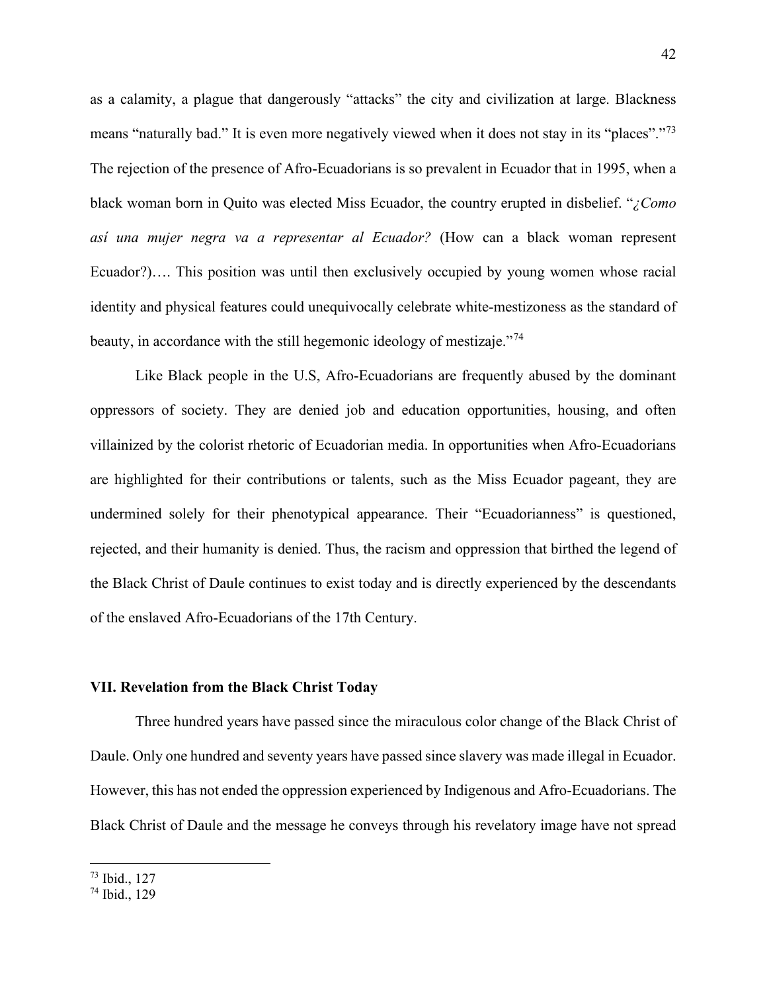as a calamity, a plague that dangerously "attacks" the city and civilization at large. Blackness means "naturally bad." It is even more negatively viewed when it does not stay in its "places"."<sup>[73](#page-46-0)</sup> The rejection of the presence of Afro-Ecuadorians is so prevalent in Ecuador that in 1995, when a black woman born in Quito was elected Miss Ecuador, the country erupted in disbelief. "*¿Como así una mujer negra va a representar al Ecuador?* (How can a black woman represent Ecuador?)…. This position was until then exclusively occupied by young women whose racial identity and physical features could unequivocally celebrate white-mestizoness as the standard of beauty, in accordance with the still hegemonic ideology of mestizaje."<sup>[74](#page-46-1)</sup>

Like Black people in the U.S, Afro-Ecuadorians are frequently abused by the dominant oppressors of society. They are denied job and education opportunities, housing, and often villainized by the colorist rhetoric of Ecuadorian media. In opportunities when Afro-Ecuadorians are highlighted for their contributions or talents, such as the Miss Ecuador pageant, they are undermined solely for their phenotypical appearance. Their "Ecuadorianness" is questioned, rejected, and their humanity is denied. Thus, the racism and oppression that birthed the legend of the Black Christ of Daule continues to exist today and is directly experienced by the descendants of the enslaved Afro-Ecuadorians of the 17th Century.

#### **VII. Revelation from the Black Christ Today**

Three hundred years have passed since the miraculous color change of the Black Christ of Daule. Only one hundred and seventy years have passed since slavery was made illegal in Ecuador. However, this has not ended the oppression experienced by Indigenous and Afro-Ecuadorians. The Black Christ of Daule and the message he conveys through his revelatory image have not spread

<span id="page-46-0"></span><sup>73</sup> Ibid., 127

<span id="page-46-1"></span><sup>74</sup> Ibid., 129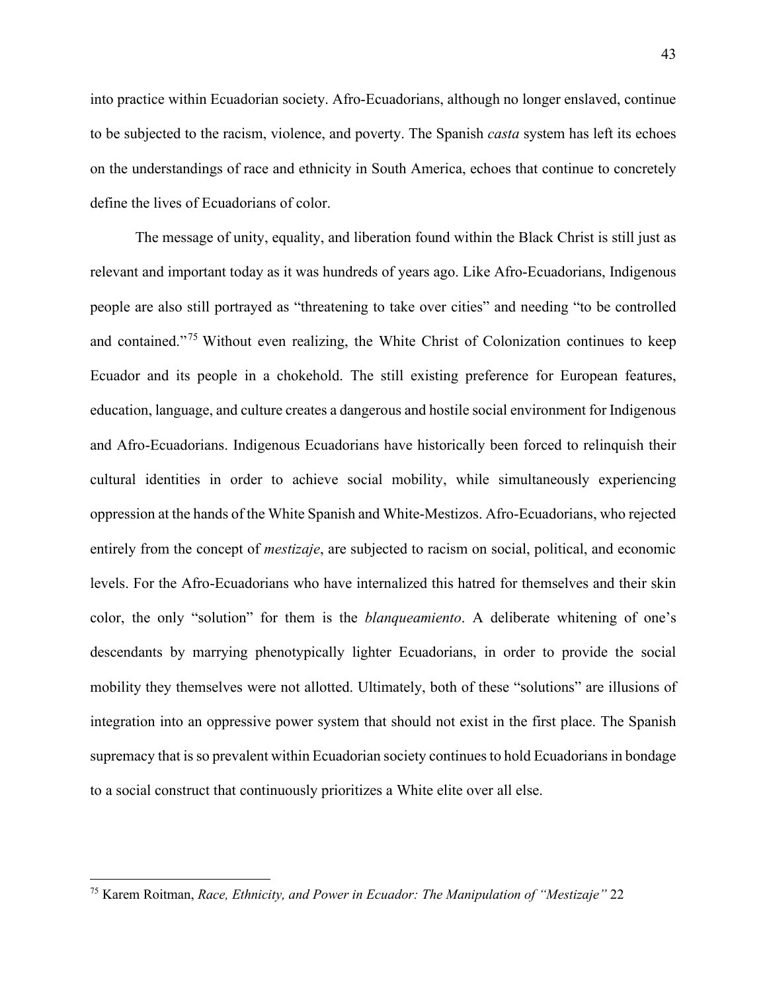into practice within Ecuadorian society. Afro-Ecuadorians, although no longer enslaved, continue to be subjected to the racism, violence, and poverty. The Spanish *casta* system has left its echoes on the understandings of race and ethnicity in South America, echoes that continue to concretely define the lives of Ecuadorians of color.

The message of unity, equality, and liberation found within the Black Christ is still just as relevant and important today as it was hundreds of years ago. Like Afro-Ecuadorians, Indigenous people are also still portrayed as "threatening to take over cities" and needing "to be controlled and contained."[75](#page-47-0) Without even realizing, the White Christ of Colonization continues to keep Ecuador and its people in a chokehold. The still existing preference for European features, education, language, and culture creates a dangerous and hostile social environment for Indigenous and Afro-Ecuadorians. Indigenous Ecuadorians have historically been forced to relinquish their cultural identities in order to achieve social mobility, while simultaneously experiencing oppression at the hands of the White Spanish and White-Mestizos. Afro-Ecuadorians, who rejected entirely from the concept of *mestizaje*, are subjected to racism on social, political, and economic levels. For the Afro-Ecuadorians who have internalized this hatred for themselves and their skin color, the only "solution" for them is the *blanqueamiento*. A deliberate whitening of one's descendants by marrying phenotypically lighter Ecuadorians, in order to provide the social mobility they themselves were not allotted. Ultimately, both of these "solutions" are illusions of integration into an oppressive power system that should not exist in the first place. The Spanish supremacy that is so prevalent within Ecuadorian society continues to hold Ecuadorians in bondage to a social construct that continuously prioritizes a White elite over all else.

<span id="page-47-0"></span><sup>75</sup> Karem Roitman, *Race, Ethnicity, and Power in Ecuador: The Manipulation of "Mestizaje"* 22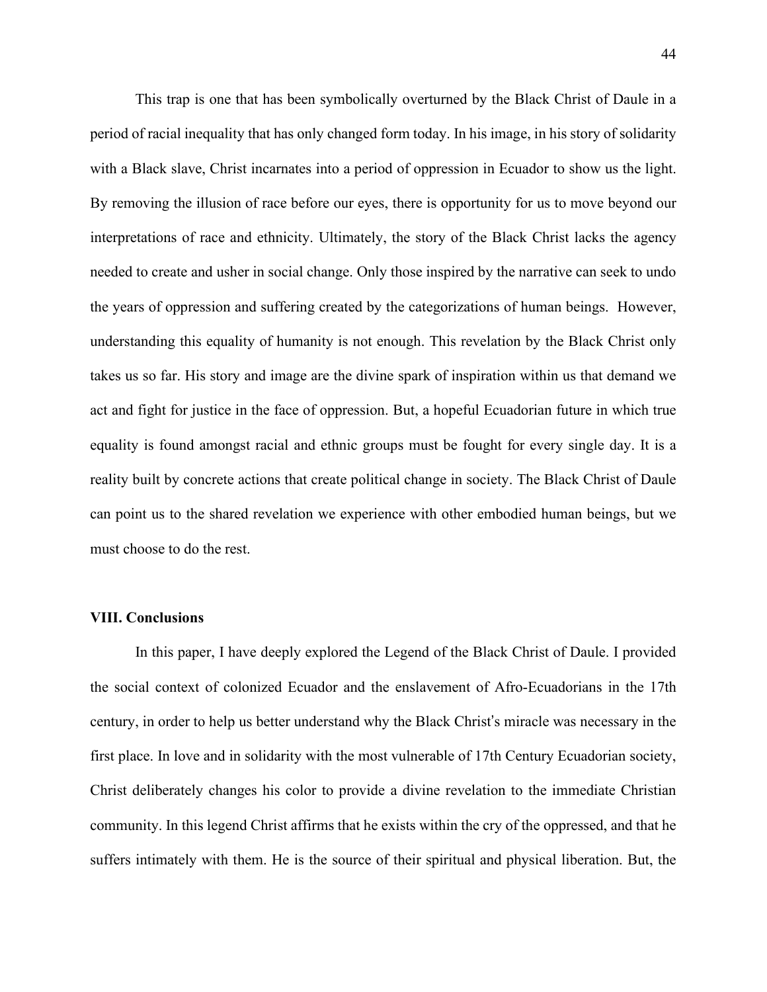This trap is one that has been symbolically overturned by the Black Christ of Daule in a period of racial inequality that has only changed form today. In his image, in his story of solidarity with a Black slave, Christ incarnates into a period of oppression in Ecuador to show us the light. By removing the illusion of race before our eyes, there is opportunity for us to move beyond our interpretations of race and ethnicity. Ultimately, the story of the Black Christ lacks the agency needed to create and usher in social change. Only those inspired by the narrative can seek to undo the years of oppression and suffering created by the categorizations of human beings. However, understanding this equality of humanity is not enough. This revelation by the Black Christ only takes us so far. His story and image are the divine spark of inspiration within us that demand we act and fight for justice in the face of oppression. But, a hopeful Ecuadorian future in which true equality is found amongst racial and ethnic groups must be fought for every single day. It is a reality built by concrete actions that create political change in society. The Black Christ of Daule can point us to the shared revelation we experience with other embodied human beings, but we must choose to do the rest.

# **VIII. Conclusions**

In this paper, I have deeply explored the Legend of the Black Christ of Daule. I provided the social context of colonized Ecuador and the enslavement of Afro-Ecuadorians in the 17th century, in order to help us better understand why the Black Christ's miracle was necessary in the first place. In love and in solidarity with the most vulnerable of 17th Century Ecuadorian society, Christ deliberately changes his color to provide a divine revelation to the immediate Christian community. In this legend Christ affirms that he exists within the cry of the oppressed, and that he suffers intimately with them. He is the source of their spiritual and physical liberation. But, the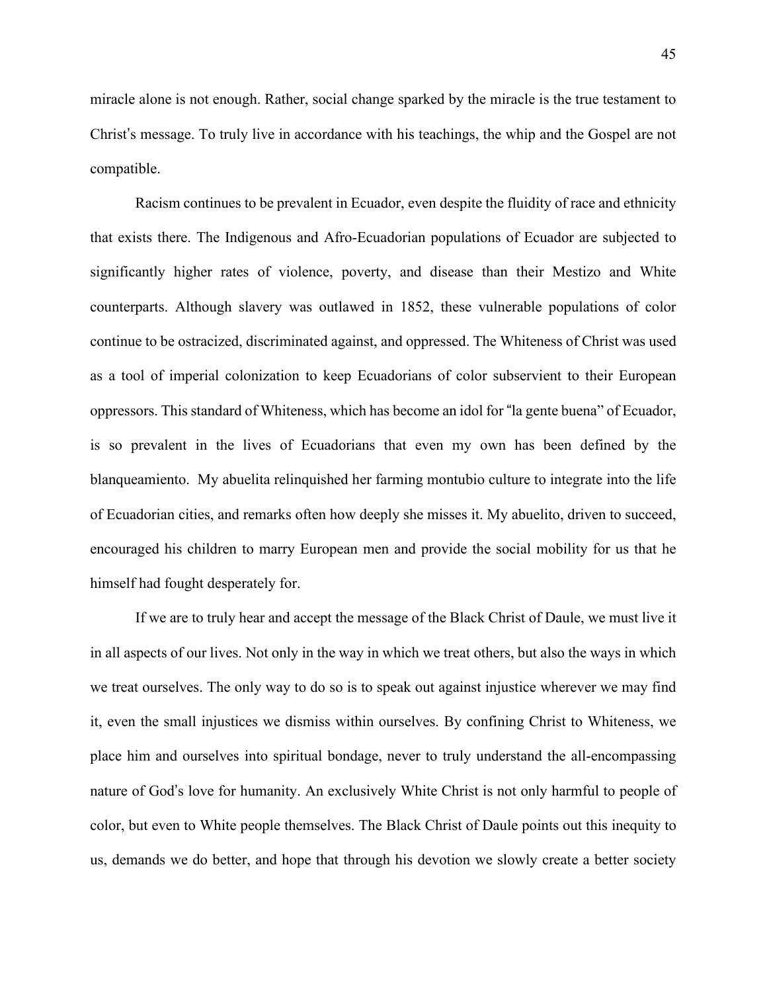miracle alone is not enough. Rather, social change sparked by the miracle is the true testament to Christ's message. To truly live in accordance with his teachings, the whip and the Gospel are not compatible.

Racism continues to be prevalent in Ecuador, even despite the fluidity of race and ethnicity that exists there. The Indigenous and Afro-Ecuadorian populations of Ecuador are subjected to significantly higher rates of violence, poverty, and disease than their Mestizo and White counterparts. Although slavery was outlawed in 1852, these vulnerable populations of color continue to be ostracized, discriminated against, and oppressed. The Whiteness of Christ was used as a tool of imperial colonization to keep Ecuadorians of color subservient to their European oppressors. This standard of Whiteness, which has become an idol for "la gente buena" of Ecuador, is so prevalent in the lives of Ecuadorians that even my own has been defined by the blanqueamiento. My abuelita relinquished her farming montubio culture to integrate into the life of Ecuadorian cities, and remarks often how deeply she misses it. My abuelito, driven to succeed, encouraged his children to marry European men and provide the social mobility for us that he himself had fought desperately for.

If we are to truly hear and accept the message of the Black Christ of Daule, we must live it in all aspects of our lives. Not only in the way in which we treat others, but also the ways in which we treat ourselves. The only way to do so is to speak out against injustice wherever we may find it, even the small injustices we dismiss within ourselves. By confining Christ to Whiteness, we place him and ourselves into spiritual bondage, never to truly understand the all-encompassing nature of God's love for humanity. An exclusively White Christ is not only harmful to people of color, but even to White people themselves. The Black Christ of Daule points out this inequity to us, demands we do better, and hope that through his devotion we slowly create a better society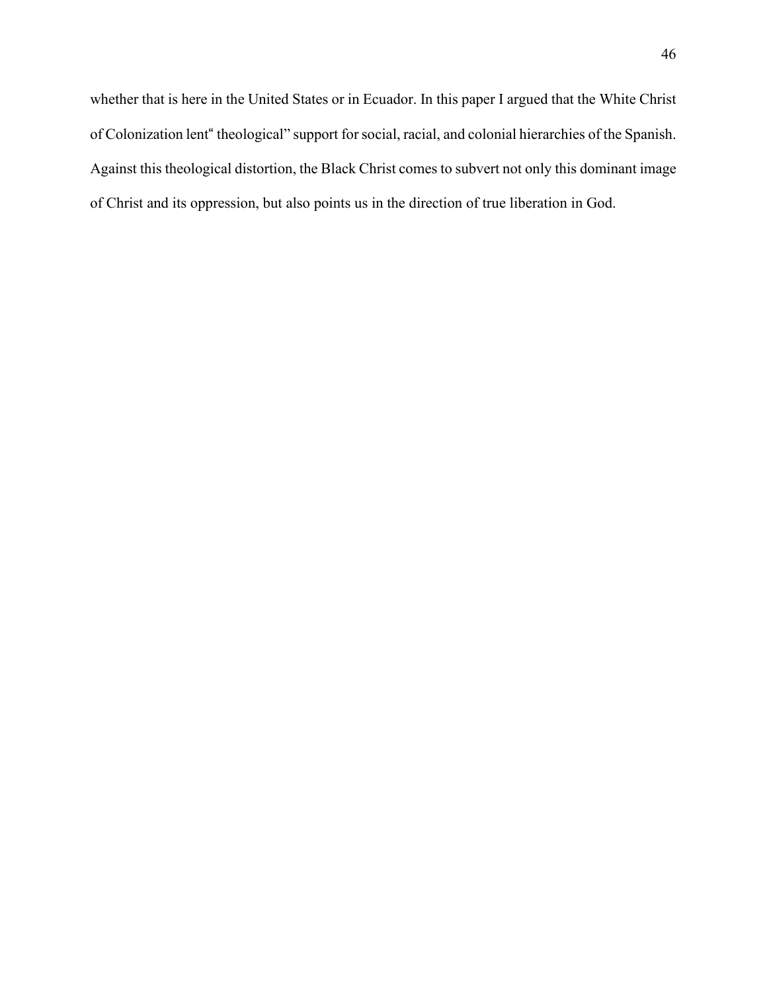whether that is here in the United States or in Ecuador. In this paper I argued that the White Christ of Colonization lent" theological" support forsocial, racial, and colonial hierarchies of the Spanish. Against this theological distortion, the Black Christ comes to subvert not only this dominant image of Christ and its oppression, but also points us in the direction of true liberation in God.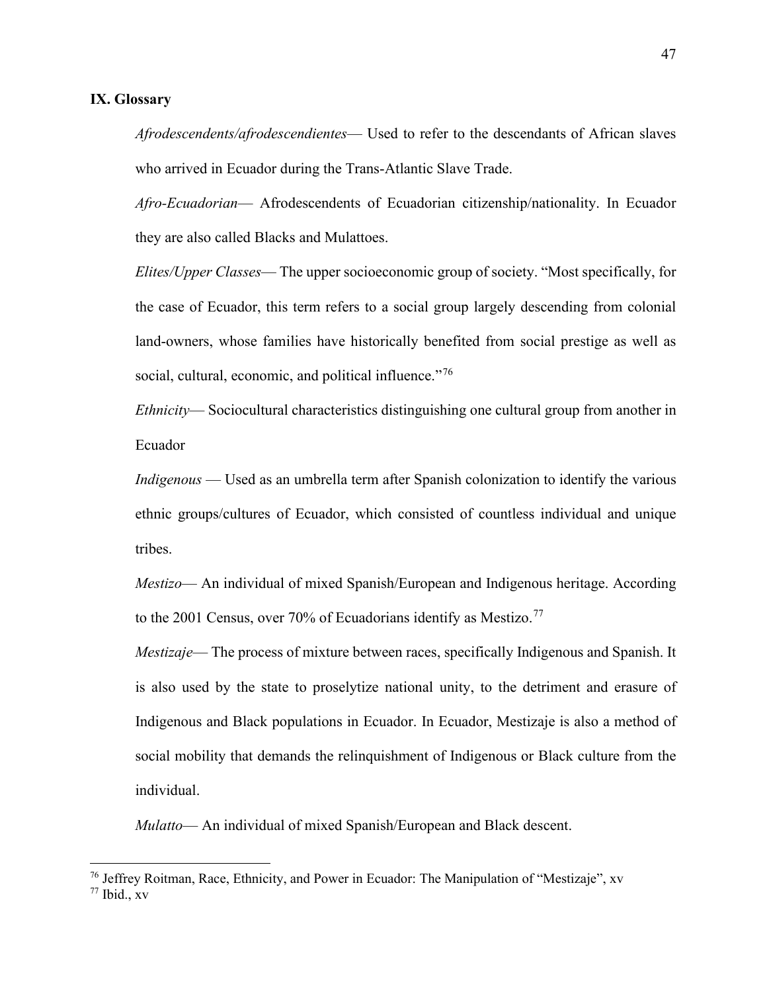#### **IX. Glossary**

*Afrodescendents/afrodescendientes*— Used to refer to the descendants of African slaves who arrived in Ecuador during the Trans-Atlantic Slave Trade.

*Afro-Ecuadorian*— Afrodescendents of Ecuadorian citizenship/nationality. In Ecuador they are also called Blacks and Mulattoes.

*Elites/Upper Classes*— The upper socioeconomic group of society. "Most specifically, for the case of Ecuador, this term refers to a social group largely descending from colonial land-owners, whose families have historically benefited from social prestige as well as social, cultural, economic, and political influence."<sup>[76](#page-51-0)</sup>

*Ethnicity*— Sociocultural characteristics distinguishing one cultural group from another in Ecuador

*Indigenous* — Used as an umbrella term after Spanish colonization to identify the various ethnic groups/cultures of Ecuador, which consisted of countless individual and unique tribes.

*Mestizo*— An individual of mixed Spanish/European and Indigenous heritage. According to the 2001 Census, over 70% of Ecuadorians identify as Mestizo.<sup>[77](#page-51-1)</sup>

*Mestizaje*— The process of mixture between races, specifically Indigenous and Spanish. It is also used by the state to proselytize national unity, to the detriment and erasure of Indigenous and Black populations in Ecuador. In Ecuador, Mestizaje is also a method of social mobility that demands the relinquishment of Indigenous or Black culture from the individual.

*Mulatto*— An individual of mixed Spanish/European and Black descent.

<span id="page-51-1"></span><span id="page-51-0"></span><sup>&</sup>lt;sup>76</sup> Jeffrey Roitman, Race, Ethnicity, and Power in Ecuador: The Manipulation of "Mestizaje", xv  $77$  Ibid.,  $xy$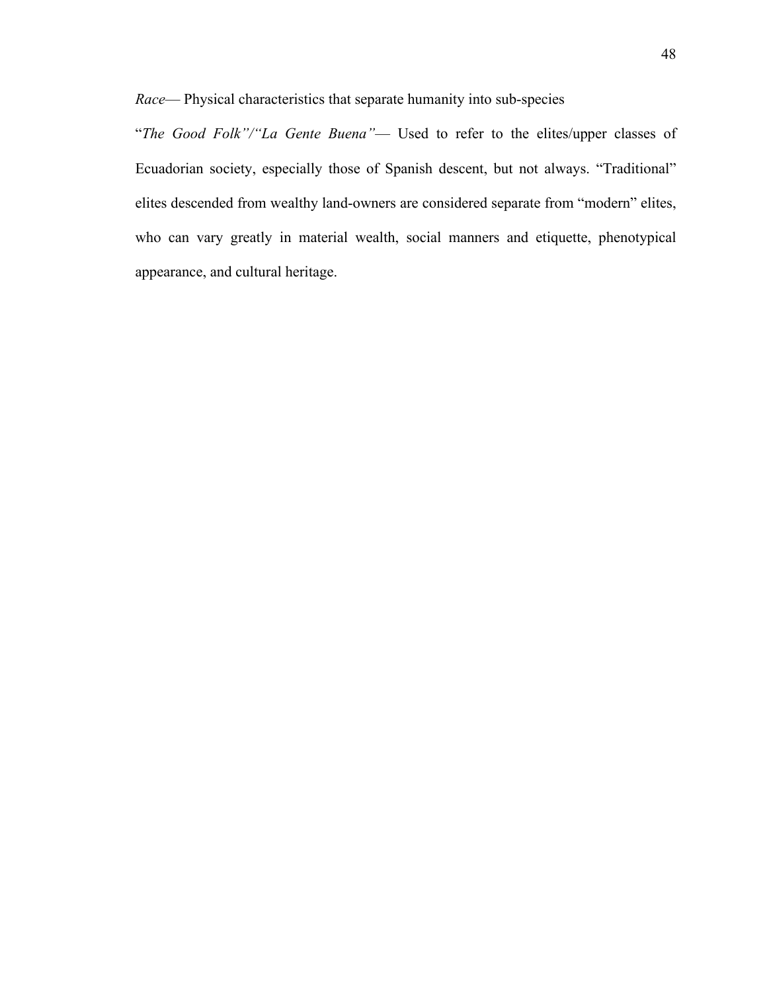*Race*— Physical characteristics that separate humanity into sub-species

"*The Good Folk"/"La Gente Buena"*— Used to refer to the elites/upper classes of Ecuadorian society, especially those of Spanish descent, but not always. "Traditional" elites descended from wealthy land-owners are considered separate from "modern" elites, who can vary greatly in material wealth, social manners and etiquette, phenotypical appearance, and cultural heritage.